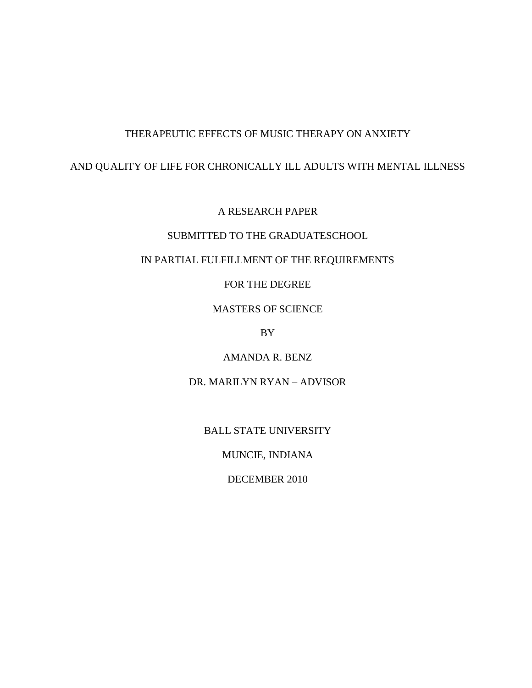# THERAPEUTIC EFFECTS OF MUSIC THERAPY ON ANXIETY

# AND QUALITY OF LIFE FOR CHRONICALLY ILL ADULTS WITH MENTAL ILLNESS

A RESEARCH PAPER

# SUBMITTED TO THE GRADUATESCHOOL

# IN PARTIAL FULFILLMENT OF THE REQUIREMENTS

FOR THE DEGREE

MASTERS OF SCIENCE

BY

AMANDA R. BENZ

DR. MARILYN RYAN – ADVISOR

BALL STATE UNIVERSITY

MUNCIE, INDIANA

DECEMBER 2010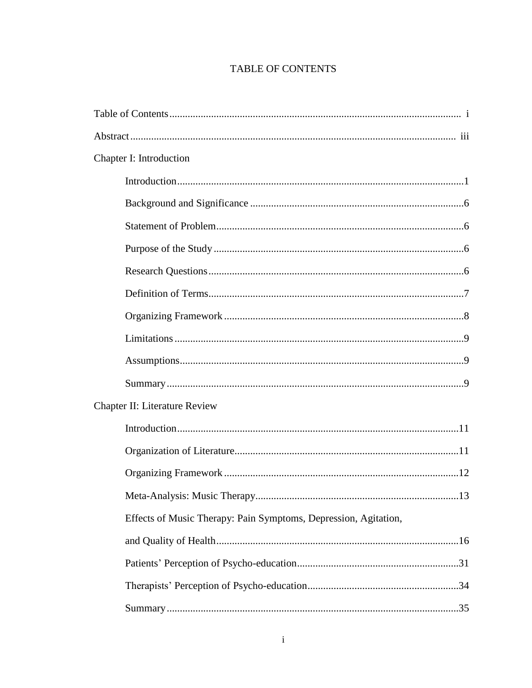# TABLE OF CONTENTS

| Chapter I: Introduction                                         |  |
|-----------------------------------------------------------------|--|
|                                                                 |  |
|                                                                 |  |
|                                                                 |  |
|                                                                 |  |
|                                                                 |  |
|                                                                 |  |
|                                                                 |  |
|                                                                 |  |
|                                                                 |  |
|                                                                 |  |
| <b>Chapter II: Literature Review</b>                            |  |
|                                                                 |  |
|                                                                 |  |
|                                                                 |  |
|                                                                 |  |
| Effects of Music Therapy: Pain Symptoms, Depression, Agitation, |  |
|                                                                 |  |
|                                                                 |  |
|                                                                 |  |
|                                                                 |  |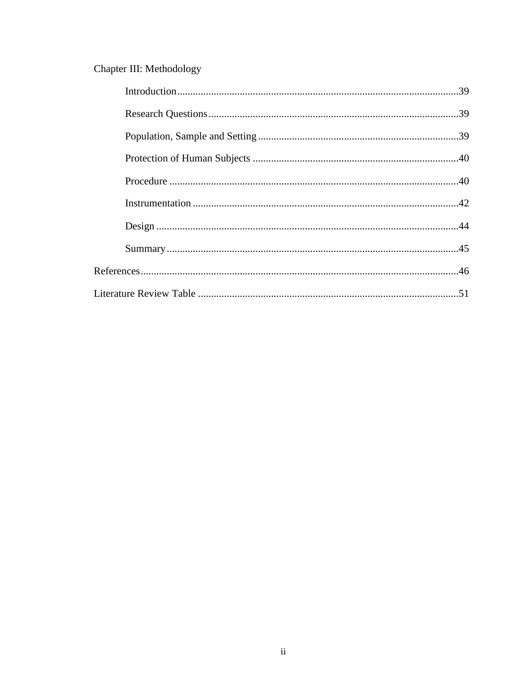# Chapter III: Methodology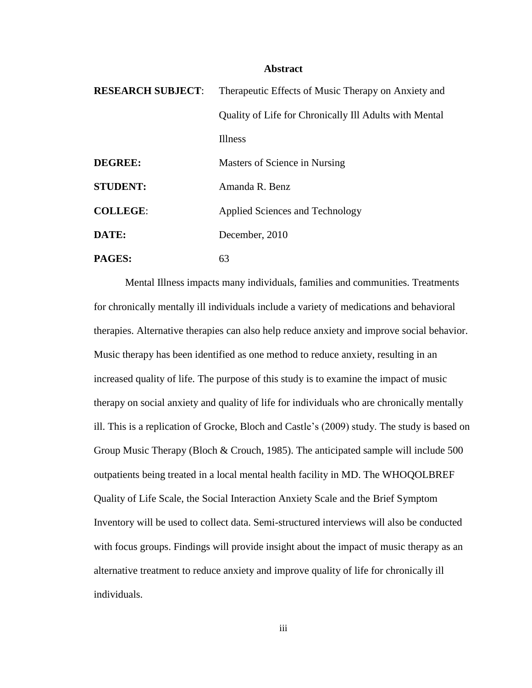#### **Abstract**

| <b>RESEARCH SUBJECT:</b> | Therapeutic Effects of Music Therapy on Anxiety and    |
|--------------------------|--------------------------------------------------------|
|                          | Quality of Life for Chronically Ill Adults with Mental |
|                          | Illness                                                |
| <b>DEGREE:</b>           | Masters of Science in Nursing                          |
| <b>STUDENT:</b>          | Amanda R. Benz                                         |
| <b>COLLEGE:</b>          | Applied Sciences and Technology                        |
| DATE:                    | December, 2010                                         |
| PAGES:                   | 63                                                     |

Mental Illness impacts many individuals, families and communities. Treatments for chronically mentally ill individuals include a variety of medications and behavioral therapies. Alternative therapies can also help reduce anxiety and improve social behavior. Music therapy has been identified as one method to reduce anxiety, resulting in an increased quality of life. The purpose of this study is to examine the impact of music therapy on social anxiety and quality of life for individuals who are chronically mentally ill. This is a replication of Grocke, Bloch and Castle's (2009) study. The study is based on Group Music Therapy (Bloch & Crouch, 1985). The anticipated sample will include 500 outpatients being treated in a local mental health facility in MD. The WHOQOLBREF Quality of Life Scale, the Social Interaction Anxiety Scale and the Brief Symptom Inventory will be used to collect data. Semi-structured interviews will also be conducted with focus groups. Findings will provide insight about the impact of music therapy as an alternative treatment to reduce anxiety and improve quality of life for chronically ill individuals.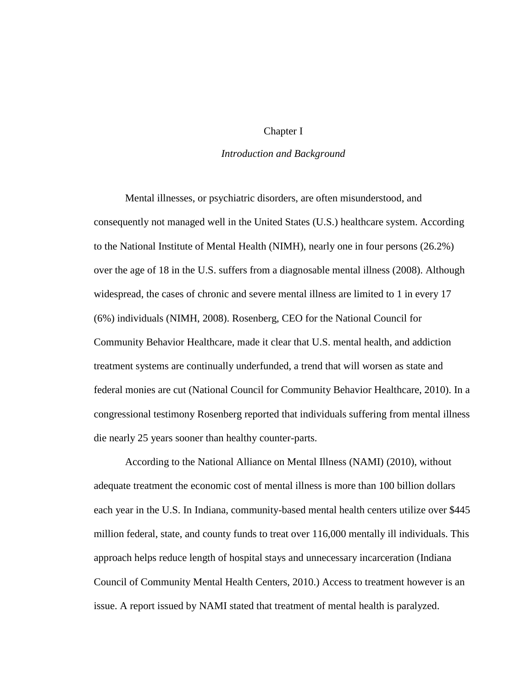## Chapter I

## *Introduction and Background*

Mental illnesses, or psychiatric disorders, are often misunderstood, and consequently not managed well in the United States (U.S.) healthcare system. According to the National Institute of Mental Health (NIMH), nearly one in four persons (26.2%) over the age of 18 in the U.S. suffers from a diagnosable mental illness (2008). Although widespread, the cases of chronic and severe mental illness are limited to 1 in every 17 (6%) individuals (NIMH, 2008). Rosenberg, CEO for the National Council for Community Behavior Healthcare, made it clear that U.S. mental health, and addiction treatment systems are continually underfunded, a trend that will worsen as state and federal monies are cut (National Council for Community Behavior Healthcare, 2010). In a congressional testimony Rosenberg reported that individuals suffering from mental illness die nearly 25 years sooner than healthy counter-parts.

According to the National Alliance on Mental Illness (NAMI) (2010), without adequate treatment the economic cost of mental illness is more than 100 billion dollars each year in the U.S. In Indiana, community-based mental health centers utilize over \$445 million federal, state, and county funds to treat over 116,000 mentally ill individuals. This approach helps reduce length of hospital stays and unnecessary incarceration (Indiana Council of Community Mental Health Centers, 2010.) Access to treatment however is an issue. A report issued by NAMI stated that treatment of mental health is paralyzed.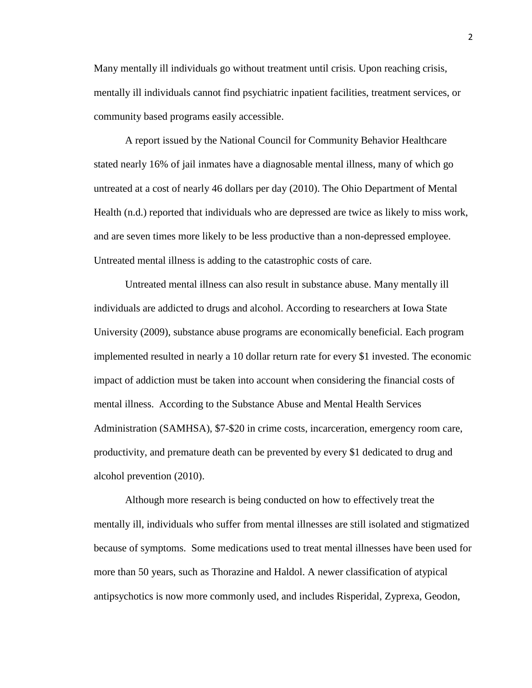Many mentally ill individuals go without treatment until crisis. Upon reaching crisis, mentally ill individuals cannot find psychiatric inpatient facilities, treatment services, or community based programs easily accessible.

A report issued by the National Council for Community Behavior Healthcare stated nearly 16% of jail inmates have a diagnosable mental illness, many of which go untreated at a cost of nearly 46 dollars per day (2010). The Ohio Department of Mental Health (n.d.) reported that individuals who are depressed are twice as likely to miss work, and are seven times more likely to be less productive than a non-depressed employee. Untreated mental illness is adding to the catastrophic costs of care.

Untreated mental illness can also result in substance abuse. Many mentally ill individuals are addicted to drugs and alcohol. According to researchers at Iowa State University (2009), substance abuse programs are economically beneficial. Each program implemented resulted in nearly a 10 dollar return rate for every \$1 invested. The economic impact of addiction must be taken into account when considering the financial costs of mental illness. According to the Substance Abuse and Mental Health Services Administration (SAMHSA), \$7-\$20 in crime costs, incarceration, emergency room care, productivity, and premature death can be prevented by every \$1 dedicated to drug and alcohol prevention (2010).

Although more research is being conducted on how to effectively treat the mentally ill, individuals who suffer from mental illnesses are still isolated and stigmatized because of symptoms. Some medications used to treat mental illnesses have been used for more than 50 years, such as Thorazine and Haldol. A newer classification of atypical antipsychotics is now more commonly used, and includes Risperidal, Zyprexa, Geodon,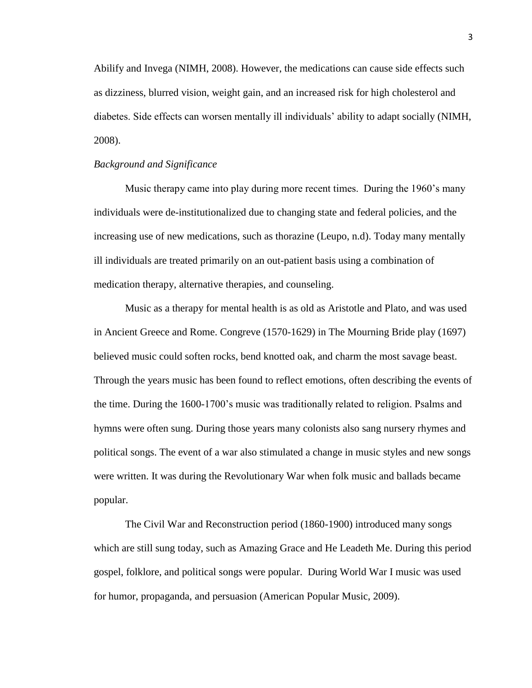Abilify and Invega (NIMH, 2008). However, the medications can cause side effects such as dizziness, blurred vision, weight gain, and an increased risk for high cholesterol and diabetes. Side effects can worsen mentally ill individuals' ability to adapt socially (NIMH, 2008).

## *Background and Significance*

Music therapy came into play during more recent times. During the 1960's many individuals were de-institutionalized due to changing state and federal policies, and the increasing use of new medications, such as thorazine (Leupo, n.d). Today many mentally ill individuals are treated primarily on an out-patient basis using a combination of medication therapy, alternative therapies, and counseling.

Music as a therapy for mental health is as old as Aristotle and Plato, and was used in Ancient Greece and Rome. Congreve (1570-1629) in The Mourning Bride play (1697) believed music could soften rocks, bend knotted oak, and charm the most savage beast. Through the years music has been found to reflect emotions, often describing the events of the time. During the 1600-1700's music was traditionally related to religion. Psalms and hymns were often sung. During those years many colonists also sang nursery rhymes and political songs. The event of a war also stimulated a change in music styles and new songs were written. It was during the Revolutionary War when folk music and ballads became popular.

The Civil War and Reconstruction period (1860-1900) introduced many songs which are still sung today, such as Amazing Grace and He Leadeth Me. During this period gospel, folklore, and political songs were popular. During World War I music was used for humor, propaganda, and persuasion (American Popular Music, 2009).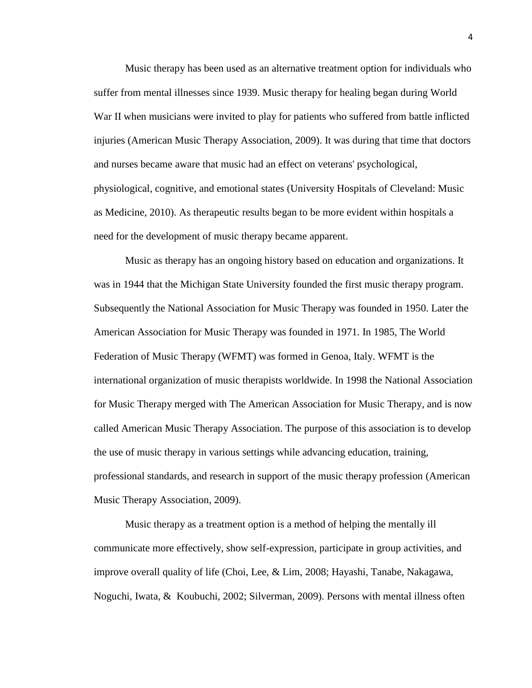Music therapy has been used as an alternative treatment option for individuals who suffer from mental illnesses since 1939. Music therapy for healing began during World War II when musicians were invited to play for patients who suffered from battle inflicted injuries (American Music Therapy Association, 2009). It was during that time that doctors and nurses became aware that music had an effect on veterans' psychological, physiological, cognitive, and emotional states (University Hospitals of Cleveland: Music as Medicine, 2010). As therapeutic results began to be more evident within hospitals a need for the development of music therapy became apparent.

Music as therapy has an ongoing history based on education and organizations. It was in 1944 that the Michigan State University founded the first music therapy program. Subsequently the National Association for Music Therapy was founded in 1950. Later the American Association for Music Therapy was founded in 1971. In 1985, The World Federation of Music Therapy (WFMT) was formed in Genoa, Italy. WFMT is the international organization of music therapists worldwide. In 1998 the National Association for Music Therapy merged with The American Association for Music Therapy, and is now called American Music Therapy Association. The purpose of this association is to develop the use of music therapy in various settings while advancing education, training, professional standards, and research in support of the music therapy profession (American Music Therapy Association, 2009).

Music therapy as a treatment option is a method of helping the mentally ill communicate more effectively, show self-expression, participate in group activities, and improve overall quality of life (Choi, Lee, & Lim, 2008; Hayashi, Tanabe, Nakagawa, Noguchi, Iwata, & Koubuchi, 2002; Silverman, 2009). Persons with mental illness often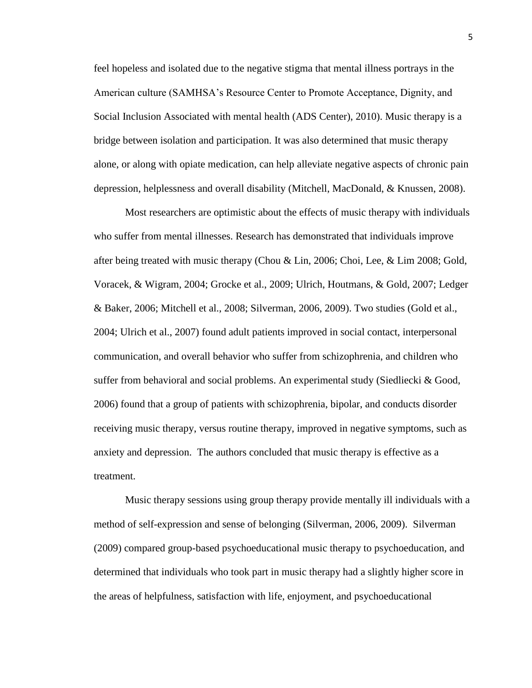feel hopeless and isolated due to the negative stigma that mental illness portrays in the American culture (SAMHSA's Resource Center to Promote Acceptance, Dignity, and Social Inclusion Associated with mental health (ADS Center), 2010). Music therapy is a bridge between isolation and participation. It was also determined that music therapy alone, or along with opiate medication, can help alleviate negative aspects of chronic pain depression, helplessness and overall disability (Mitchell, MacDonald, & Knussen, 2008).

Most researchers are optimistic about the effects of music therapy with individuals who suffer from mental illnesses. Research has demonstrated that individuals improve after being treated with music therapy (Chou & Lin, 2006; Choi, Lee, & Lim 2008; Gold, Voracek, & Wigram, 2004; Grocke et al., 2009; Ulrich, Houtmans, & Gold, 2007; Ledger & Baker, 2006; Mitchell et al., 2008; Silverman, 2006, 2009). Two studies (Gold et al., 2004; Ulrich et al., 2007) found adult patients improved in social contact, interpersonal communication, and overall behavior who suffer from schizophrenia, and children who suffer from behavioral and social problems. An experimental study (Siedliecki & Good, 2006) found that a group of patients with schizophrenia, bipolar, and conducts disorder receiving music therapy, versus routine therapy, improved in negative symptoms, such as anxiety and depression. The authors concluded that music therapy is effective as a treatment.

Music therapy sessions using group therapy provide mentally ill individuals with a method of self-expression and sense of belonging (Silverman, 2006, 2009). Silverman (2009) compared group-based psychoeducational music therapy to psychoeducation, and determined that individuals who took part in music therapy had a slightly higher score in the areas of helpfulness, satisfaction with life, enjoyment, and psychoeducational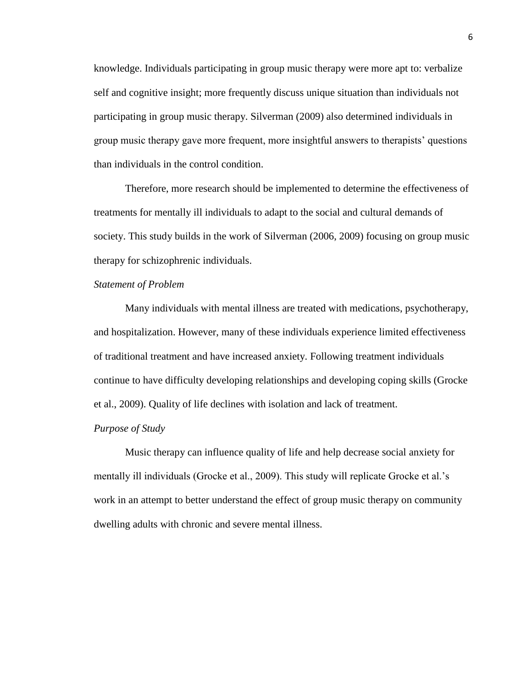knowledge. Individuals participating in group music therapy were more apt to: verbalize self and cognitive insight; more frequently discuss unique situation than individuals not participating in group music therapy. Silverman (2009) also determined individuals in group music therapy gave more frequent, more insightful answers to therapists' questions than individuals in the control condition.

Therefore, more research should be implemented to determine the effectiveness of treatments for mentally ill individuals to adapt to the social and cultural demands of society. This study builds in the work of Silverman (2006, 2009) focusing on group music therapy for schizophrenic individuals.

## *Statement of Problem*

Many individuals with mental illness are treated with medications, psychotherapy, and hospitalization. However, many of these individuals experience limited effectiveness of traditional treatment and have increased anxiety. Following treatment individuals continue to have difficulty developing relationships and developing coping skills (Grocke et al., 2009). Quality of life declines with isolation and lack of treatment.

#### *Purpose of Study*

Music therapy can influence quality of life and help decrease social anxiety for mentally ill individuals (Grocke et al., 2009). This study will replicate Grocke et al.'s work in an attempt to better understand the effect of group music therapy on community dwelling adults with chronic and severe mental illness.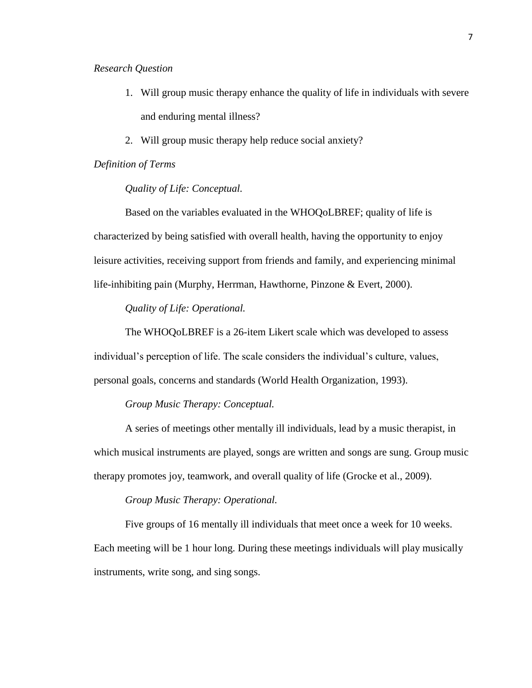## *Research Question*

- 1. Will group music therapy enhance the quality of life in individuals with severe and enduring mental illness?
- 2. Will group music therapy help reduce social anxiety?

## *Definition of Terms*

## *Quality of Life: Conceptual.*

Based on the variables evaluated in the WHOQoLBREF; quality of life is characterized by being satisfied with overall health, having the opportunity to enjoy leisure activities, receiving support from friends and family, and experiencing minimal life-inhibiting pain (Murphy, Herrman, Hawthorne, Pinzone & Evert, 2000).

*Quality of Life: Operational.* 

The WHOQoLBREF is a 26-item Likert scale which was developed to assess individual's perception of life. The scale considers the individual's culture, values, personal goals, concerns and standards (World Health Organization, 1993).

## *Group Music Therapy: Conceptual.*

A series of meetings other mentally ill individuals, lead by a music therapist, in which musical instruments are played, songs are written and songs are sung. Group music therapy promotes joy, teamwork, and overall quality of life (Grocke et al., 2009).

## *Group Music Therapy: Operational.*

Five groups of 16 mentally ill individuals that meet once a week for 10 weeks. Each meeting will be 1 hour long. During these meetings individuals will play musically instruments, write song, and sing songs.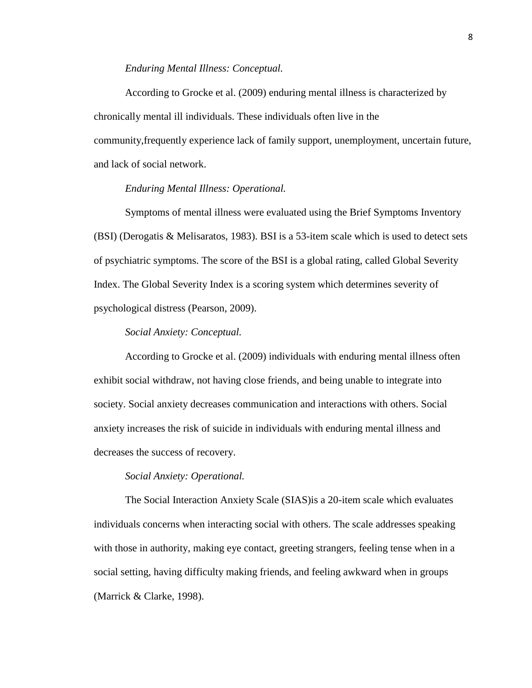#### *Enduring Mental Illness: Conceptual.*

According to Grocke et al. (2009) enduring mental illness is characterized by chronically mental ill individuals. These individuals often live in the community,frequently experience lack of family support, unemployment, uncertain future, and lack of social network.

## *Enduring Mental Illness: Operational.*

Symptoms of mental illness were evaluated using the Brief Symptoms Inventory (BSI) (Derogatis & Melisaratos, 1983). BSI is a 53-item scale which is used to detect sets of psychiatric symptoms. The score of the BSI is a global rating, called Global Severity Index. The Global Severity Index is a scoring system which determines severity of psychological distress (Pearson, 2009).

## *Social Anxiety: Conceptual.*

According to Grocke et al. (2009) individuals with enduring mental illness often exhibit social withdraw, not having close friends, and being unable to integrate into society. Social anxiety decreases communication and interactions with others. Social anxiety increases the risk of suicide in individuals with enduring mental illness and decreases the success of recovery.

#### *Social Anxiety: Operational.*

The Social Interaction Anxiety Scale (SIAS)is a 20-item scale which evaluates individuals concerns when interacting social with others. The scale addresses speaking with those in authority, making eye contact, greeting strangers, feeling tense when in a social setting, having difficulty making friends, and feeling awkward when in groups (Marrick & Clarke, 1998).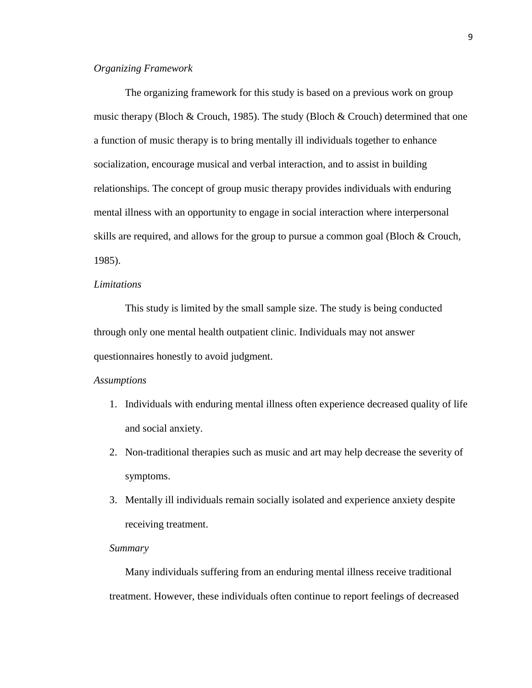## *Organizing Framework*

The organizing framework for this study is based on a previous work on group music therapy (Bloch & Crouch, 1985). The study (Bloch & Crouch) determined that one a function of music therapy is to bring mentally ill individuals together to enhance socialization, encourage musical and verbal interaction, and to assist in building relationships. The concept of group music therapy provides individuals with enduring mental illness with an opportunity to engage in social interaction where interpersonal skills are required, and allows for the group to pursue a common goal (Bloch & Crouch, 1985).

## *Limitations*

This study is limited by the small sample size. The study is being conducted through only one mental health outpatient clinic. Individuals may not answer questionnaires honestly to avoid judgment.

#### *Assumptions*

- 1. Individuals with enduring mental illness often experience decreased quality of life and social anxiety.
- 2. Non-traditional therapies such as music and art may help decrease the severity of symptoms.
- 3. Mentally ill individuals remain socially isolated and experience anxiety despite receiving treatment.

#### *Summary*

Many individuals suffering from an enduring mental illness receive traditional treatment. However, these individuals often continue to report feelings of decreased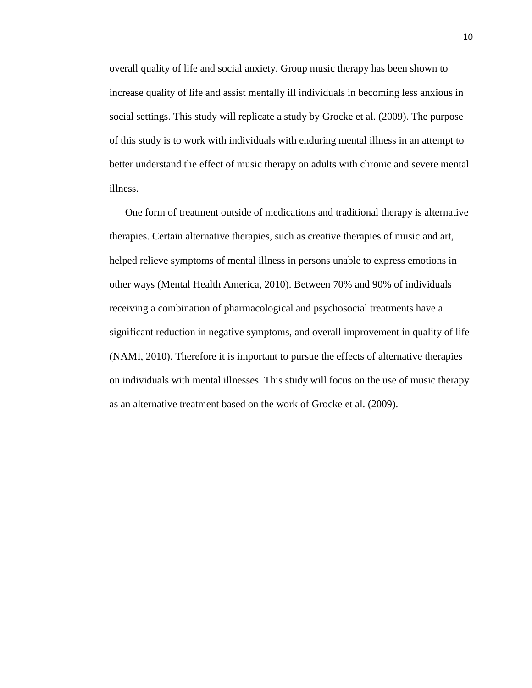overall quality of life and social anxiety. Group music therapy has been shown to increase quality of life and assist mentally ill individuals in becoming less anxious in social settings. This study will replicate a study by Grocke et al. (2009). The purpose of this study is to work with individuals with enduring mental illness in an attempt to better understand the effect of music therapy on adults with chronic and severe mental illness.

One form of treatment outside of medications and traditional therapy is alternative therapies. Certain alternative therapies, such as creative therapies of music and art, helped relieve symptoms of mental illness in persons unable to express emotions in other ways (Mental Health America, 2010). Between 70% and 90% of individuals receiving a combination of pharmacological and psychosocial treatments have a significant reduction in negative symptoms, and overall improvement in quality of life (NAMI, 2010). Therefore it is important to pursue the effects of alternative therapies on individuals with mental illnesses. This study will focus on the use of music therapy as an alternative treatment based on the work of Grocke et al. (2009).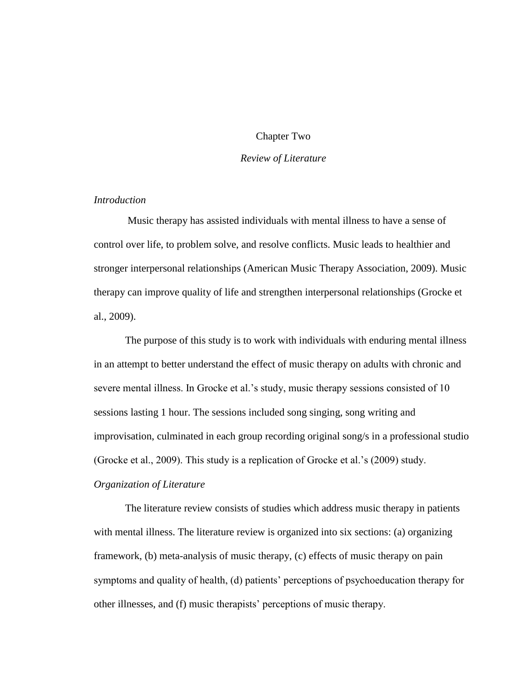## Chapter Two

## *Review of Literature*

## *Introduction*

Music therapy has assisted individuals with mental illness to have a sense of control over life, to problem solve, and resolve conflicts. Music leads to healthier and stronger interpersonal relationships (American Music Therapy Association, 2009). Music therapy can improve quality of life and strengthen interpersonal relationships (Grocke et al., 2009).

The purpose of this study is to work with individuals with enduring mental illness in an attempt to better understand the effect of music therapy on adults with chronic and severe mental illness. In Grocke et al.'s study, music therapy sessions consisted of 10 sessions lasting 1 hour. The sessions included song singing, song writing and improvisation, culminated in each group recording original song/s in a professional studio (Grocke et al., 2009). This study is a replication of Grocke et al.'s (2009) study. *Organization of Literature* 

The literature review consists of studies which address music therapy in patients with mental illness. The literature review is organized into six sections: (a) organizing framework, (b) meta-analysis of music therapy, (c) effects of music therapy on pain symptoms and quality of health, (d) patients' perceptions of psychoeducation therapy for other illnesses, and (f) music therapists' perceptions of music therapy.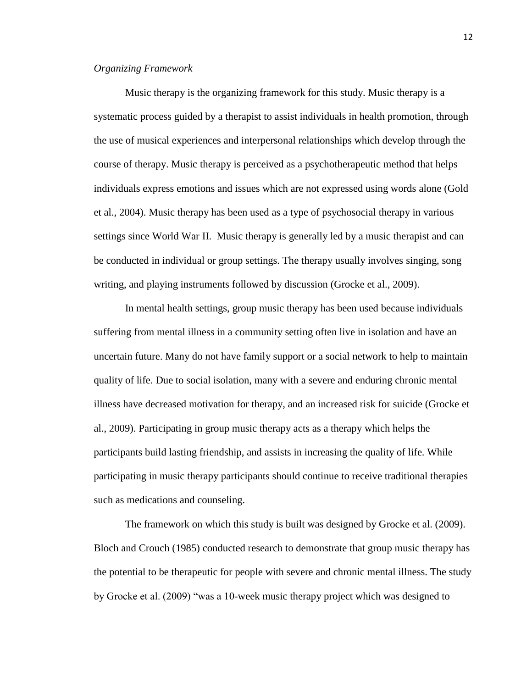## *Organizing Framework*

Music therapy is the organizing framework for this study. Music therapy is a systematic process guided by a therapist to assist individuals in health promotion, through the use of musical experiences and interpersonal relationships which develop through the course of therapy. Music therapy is perceived as a psychotherapeutic method that helps individuals express emotions and issues which are not expressed using words alone (Gold et al., 2004). Music therapy has been used as a type of psychosocial therapy in various settings since World War II. Music therapy is generally led by a music therapist and can be conducted in individual or group settings. The therapy usually involves singing, song writing, and playing instruments followed by discussion (Grocke et al., 2009).

In mental health settings, group music therapy has been used because individuals suffering from mental illness in a community setting often live in isolation and have an uncertain future. Many do not have family support or a social network to help to maintain quality of life. Due to social isolation, many with a severe and enduring chronic mental illness have decreased motivation for therapy, and an increased risk for suicide (Grocke et al., 2009). Participating in group music therapy acts as a therapy which helps the participants build lasting friendship, and assists in increasing the quality of life. While participating in music therapy participants should continue to receive traditional therapies such as medications and counseling.

The framework on which this study is built was designed by Grocke et al. (2009). Bloch and Crouch (1985) conducted research to demonstrate that group music therapy has the potential to be therapeutic for people with severe and chronic mental illness. The study by Grocke et al. (2009) "was a 10-week music therapy project which was designed to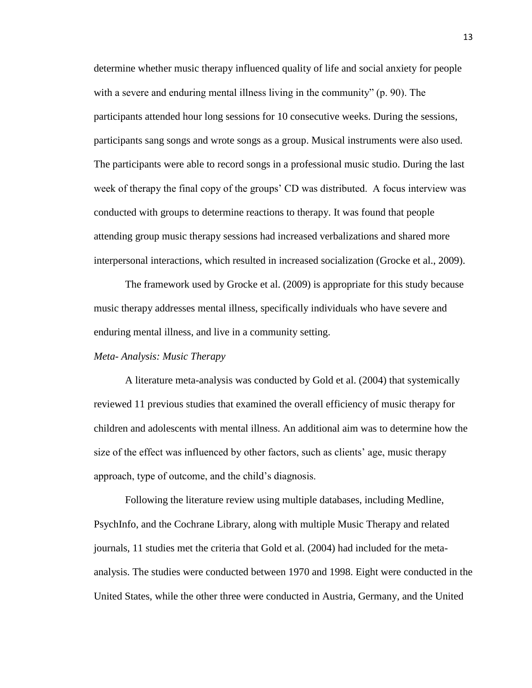determine whether music therapy influenced quality of life and social anxiety for people with a severe and enduring mental illness living in the community" (p. 90). The participants attended hour long sessions for 10 consecutive weeks. During the sessions, participants sang songs and wrote songs as a group. Musical instruments were also used. The participants were able to record songs in a professional music studio. During the last week of therapy the final copy of the groups' CD was distributed. A focus interview was conducted with groups to determine reactions to therapy. It was found that people attending group music therapy sessions had increased verbalizations and shared more interpersonal interactions, which resulted in increased socialization (Grocke et al., 2009).

The framework used by Grocke et al. (2009) is appropriate for this study because music therapy addresses mental illness, specifically individuals who have severe and enduring mental illness, and live in a community setting.

#### *Meta- Analysis: Music Therapy*

A literature meta-analysis was conducted by Gold et al. (2004) that systemically reviewed 11 previous studies that examined the overall efficiency of music therapy for children and adolescents with mental illness. An additional aim was to determine how the size of the effect was influenced by other factors, such as clients' age, music therapy approach, type of outcome, and the child's diagnosis.

Following the literature review using multiple databases, including Medline, PsychInfo, and the Cochrane Library, along with multiple Music Therapy and related journals, 11 studies met the criteria that Gold et al. (2004) had included for the metaanalysis. The studies were conducted between 1970 and 1998. Eight were conducted in the United States, while the other three were conducted in Austria, Germany, and the United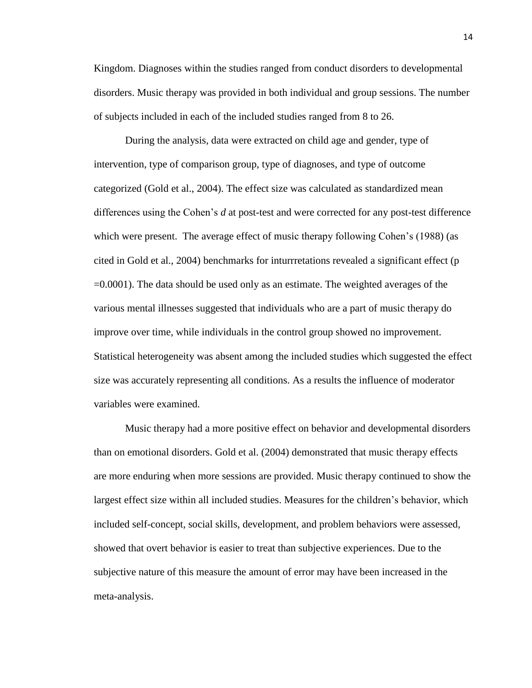Kingdom. Diagnoses within the studies ranged from conduct disorders to developmental disorders. Music therapy was provided in both individual and group sessions. The number of subjects included in each of the included studies ranged from 8 to 26.

During the analysis, data were extracted on child age and gender, type of intervention, type of comparison group, type of diagnoses, and type of outcome categorized (Gold et al., 2004). The effect size was calculated as standardized mean differences using the Cohen's *d* at post-test and were corrected for any post-test difference which were present. The average effect of music therapy following Cohen's (1988) (as cited in Gold et al., 2004) benchmarks for inturrretations revealed a significant effect (p =0.0001). The data should be used only as an estimate. The weighted averages of the various mental illnesses suggested that individuals who are a part of music therapy do improve over time, while individuals in the control group showed no improvement. Statistical heterogeneity was absent among the included studies which suggested the effect size was accurately representing all conditions. As a results the influence of moderator variables were examined.

Music therapy had a more positive effect on behavior and developmental disorders than on emotional disorders. Gold et al. (2004) demonstrated that music therapy effects are more enduring when more sessions are provided. Music therapy continued to show the largest effect size within all included studies. Measures for the children's behavior, which included self-concept, social skills, development, and problem behaviors were assessed, showed that overt behavior is easier to treat than subjective experiences. Due to the subjective nature of this measure the amount of error may have been increased in the meta-analysis.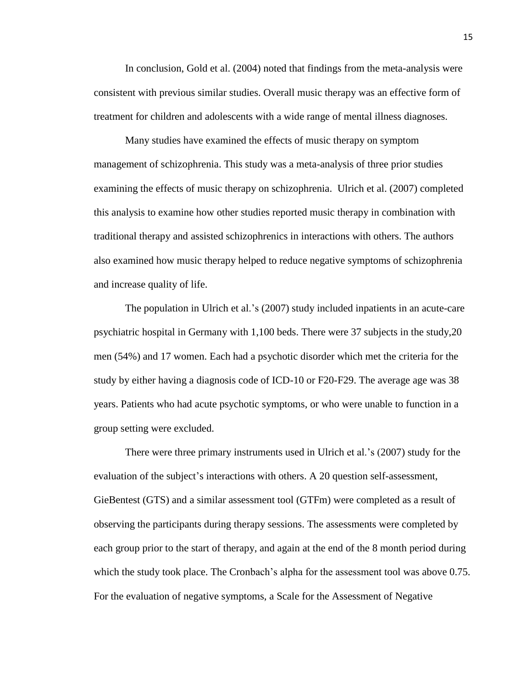In conclusion, Gold et al. (2004) noted that findings from the meta-analysis were consistent with previous similar studies. Overall music therapy was an effective form of treatment for children and adolescents with a wide range of mental illness diagnoses.

Many studies have examined the effects of music therapy on symptom management of schizophrenia. This study was a meta-analysis of three prior studies examining the effects of music therapy on schizophrenia. Ulrich et al. (2007) completed this analysis to examine how other studies reported music therapy in combination with traditional therapy and assisted schizophrenics in interactions with others. The authors also examined how music therapy helped to reduce negative symptoms of schizophrenia and increase quality of life.

The population in Ulrich et al.'s (2007) study included inpatients in an acute-care psychiatric hospital in Germany with 1,100 beds. There were 37 subjects in the study,20 men (54%) and 17 women. Each had a psychotic disorder which met the criteria for the study by either having a diagnosis code of ICD-10 or F20-F29. The average age was 38 years. Patients who had acute psychotic symptoms, or who were unable to function in a group setting were excluded.

There were three primary instruments used in Ulrich et al.'s (2007) study for the evaluation of the subject's interactions with others. A 20 question self-assessment, GieBentest (GTS) and a similar assessment tool (GTFm) were completed as a result of observing the participants during therapy sessions. The assessments were completed by each group prior to the start of therapy, and again at the end of the 8 month period during which the study took place. The Cronbach's alpha for the assessment tool was above 0.75. For the evaluation of negative symptoms, a Scale for the Assessment of Negative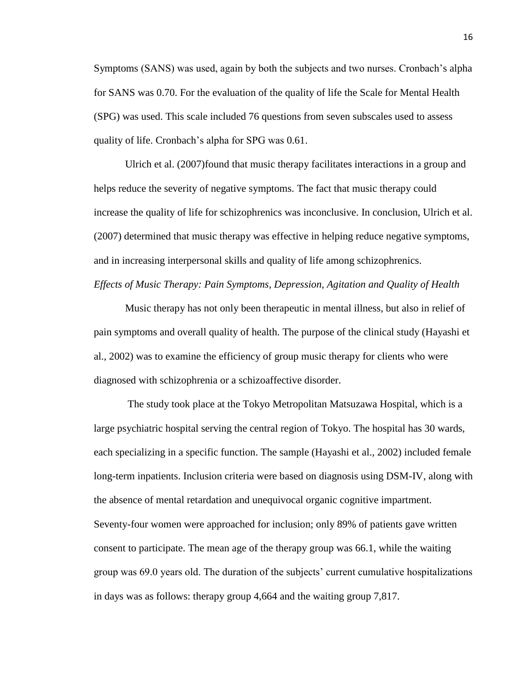Symptoms (SANS) was used, again by both the subjects and two nurses. Cronbach's alpha for SANS was 0.70. For the evaluation of the quality of life the Scale for Mental Health (SPG) was used. This scale included 76 questions from seven subscales used to assess quality of life. Cronbach's alpha for SPG was 0.61.

Ulrich et al. (2007)found that music therapy facilitates interactions in a group and helps reduce the severity of negative symptoms. The fact that music therapy could increase the quality of life for schizophrenics was inconclusive. In conclusion, Ulrich et al. (2007) determined that music therapy was effective in helping reduce negative symptoms, and in increasing interpersonal skills and quality of life among schizophrenics. *Effects of Music Therapy: Pain Symptoms, Depression, Agitation and Quality of Health* 

Music therapy has not only been therapeutic in mental illness, but also in relief of pain symptoms and overall quality of health. The purpose of the clinical study (Hayashi et al., 2002) was to examine the efficiency of group music therapy for clients who were diagnosed with schizophrenia or a schizoaffective disorder.

The study took place at the Tokyo Metropolitan Matsuzawa Hospital, which is a large psychiatric hospital serving the central region of Tokyo. The hospital has 30 wards, each specializing in a specific function. The sample (Hayashi et al., 2002) included female long-term inpatients. Inclusion criteria were based on diagnosis using DSM-IV, along with the absence of mental retardation and unequivocal organic cognitive impartment. Seventy-four women were approached for inclusion; only 89% of patients gave written consent to participate. The mean age of the therapy group was 66.1, while the waiting group was 69.0 years old. The duration of the subjects' current cumulative hospitalizations in days was as follows: therapy group 4,664 and the waiting group 7,817.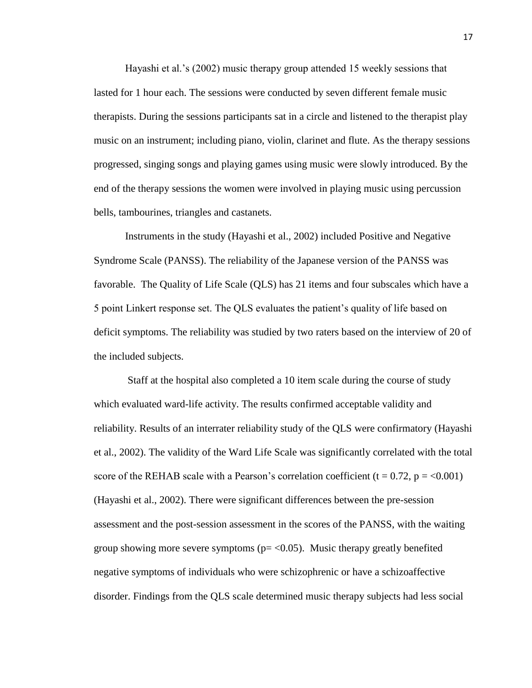Hayashi et al.'s (2002) music therapy group attended 15 weekly sessions that lasted for 1 hour each. The sessions were conducted by seven different female music therapists. During the sessions participants sat in a circle and listened to the therapist play music on an instrument; including piano, violin, clarinet and flute. As the therapy sessions progressed, singing songs and playing games using music were slowly introduced. By the end of the therapy sessions the women were involved in playing music using percussion bells, tambourines, triangles and castanets.

Instruments in the study (Hayashi et al., 2002) included Positive and Negative Syndrome Scale (PANSS). The reliability of the Japanese version of the PANSS was favorable. The Quality of Life Scale (QLS) has 21 items and four subscales which have a 5 point Linkert response set. The QLS evaluates the patient's quality of life based on deficit symptoms. The reliability was studied by two raters based on the interview of 20 of the included subjects.

Staff at the hospital also completed a 10 item scale during the course of study which evaluated ward-life activity. The results confirmed acceptable validity and reliability. Results of an interrater reliability study of the QLS were confirmatory (Hayashi et al., 2002). The validity of the Ward Life Scale was significantly correlated with the total score of the REHAB scale with a Pearson's correlation coefficient  $(t = 0.72, p = 0.001)$ (Hayashi et al., 2002). There were significant differences between the pre-session assessment and the post-session assessment in the scores of the PANSS, with the waiting group showing more severe symptoms ( $p = < 0.05$ ). Music therapy greatly benefited negative symptoms of individuals who were schizophrenic or have a schizoaffective disorder. Findings from the QLS scale determined music therapy subjects had less social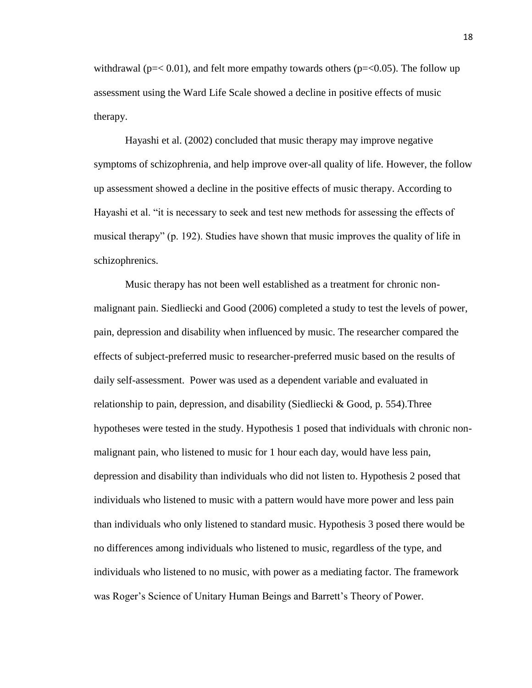withdrawal ( $p = < 0.01$ ), and felt more empathy towards others ( $p = < 0.05$ ). The follow up assessment using the Ward Life Scale showed a decline in positive effects of music therapy.

Hayashi et al. (2002) concluded that music therapy may improve negative symptoms of schizophrenia, and help improve over-all quality of life. However, the follow up assessment showed a decline in the positive effects of music therapy. According to Hayashi et al. "it is necessary to seek and test new methods for assessing the effects of musical therapy" (p. 192). Studies have shown that music improves the quality of life in schizophrenics.

Music therapy has not been well established as a treatment for chronic nonmalignant pain. Siedliecki and Good (2006) completed a study to test the levels of power, pain, depression and disability when influenced by music. The researcher compared the effects of subject-preferred music to researcher-preferred music based on the results of daily self-assessment. Power was used as a dependent variable and evaluated in relationship to pain, depression, and disability (Siedliecki & Good, p. 554).Three hypotheses were tested in the study. Hypothesis 1 posed that individuals with chronic nonmalignant pain, who listened to music for 1 hour each day, would have less pain, depression and disability than individuals who did not listen to. Hypothesis 2 posed that individuals who listened to music with a pattern would have more power and less pain than individuals who only listened to standard music. Hypothesis 3 posed there would be no differences among individuals who listened to music, regardless of the type, and individuals who listened to no music, with power as a mediating factor. The framework was Roger's Science of Unitary Human Beings and Barrett's Theory of Power.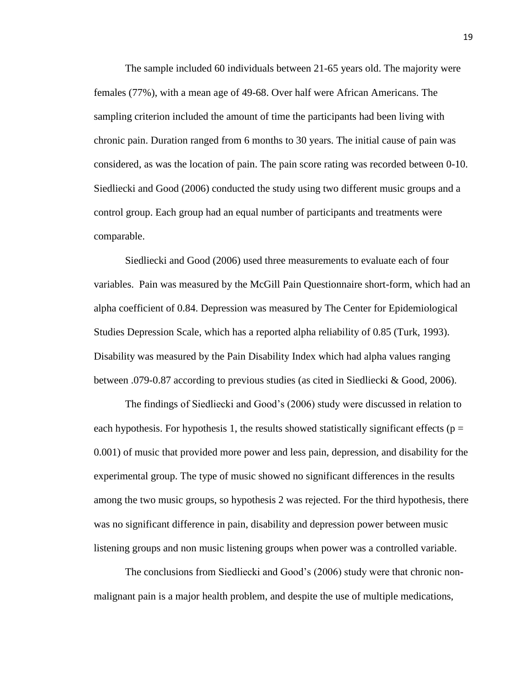The sample included 60 individuals between 21-65 years old. The majority were females (77%), with a mean age of 49-68. Over half were African Americans. The sampling criterion included the amount of time the participants had been living with chronic pain. Duration ranged from 6 months to 30 years. The initial cause of pain was considered, as was the location of pain. The pain score rating was recorded between 0-10. Siedliecki and Good (2006) conducted the study using two different music groups and a control group. Each group had an equal number of participants and treatments were comparable.

Siedliecki and Good (2006) used three measurements to evaluate each of four variables. Pain was measured by the McGill Pain Questionnaire short-form, which had an alpha coefficient of 0.84. Depression was measured by The Center for Epidemiological Studies Depression Scale, which has a reported alpha reliability of 0.85 (Turk, 1993). Disability was measured by the Pain Disability Index which had alpha values ranging between .079-0.87 according to previous studies (as cited in Siedliecki & Good, 2006).

The findings of Siedliecki and Good's (2006) study were discussed in relation to each hypothesis. For hypothesis 1, the results showed statistically significant effects ( $p =$ 0.001) of music that provided more power and less pain, depression, and disability for the experimental group. The type of music showed no significant differences in the results among the two music groups, so hypothesis 2 was rejected. For the third hypothesis, there was no significant difference in pain, disability and depression power between music listening groups and non music listening groups when power was a controlled variable.

The conclusions from Siedliecki and Good's (2006) study were that chronic nonmalignant pain is a major health problem, and despite the use of multiple medications,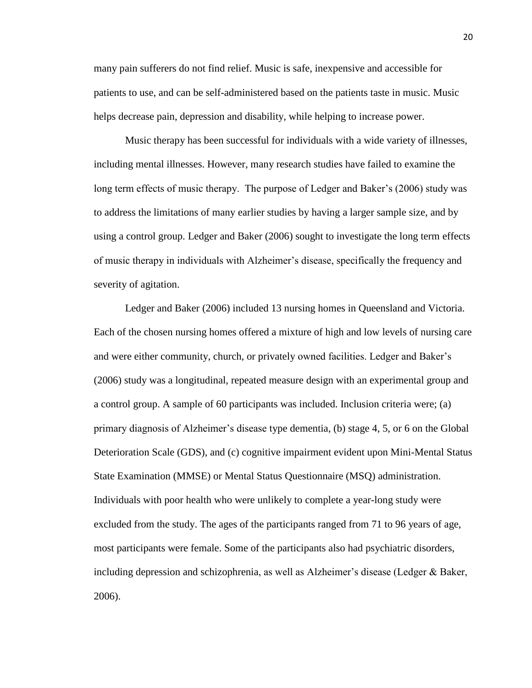many pain sufferers do not find relief. Music is safe, inexpensive and accessible for patients to use, and can be self-administered based on the patients taste in music. Music helps decrease pain, depression and disability, while helping to increase power.

Music therapy has been successful for individuals with a wide variety of illnesses, including mental illnesses. However, many research studies have failed to examine the long term effects of music therapy. The purpose of Ledger and Baker's (2006) study was to address the limitations of many earlier studies by having a larger sample size, and by using a control group. Ledger and Baker (2006) sought to investigate the long term effects of music therapy in individuals with Alzheimer's disease, specifically the frequency and severity of agitation.

Ledger and Baker (2006) included 13 nursing homes in Queensland and Victoria. Each of the chosen nursing homes offered a mixture of high and low levels of nursing care and were either community, church, or privately owned facilities. Ledger and Baker's (2006) study was a longitudinal, repeated measure design with an experimental group and a control group. A sample of 60 participants was included. Inclusion criteria were; (a) primary diagnosis of Alzheimer's disease type dementia, (b) stage 4, 5, or 6 on the Global Deterioration Scale (GDS), and (c) cognitive impairment evident upon Mini-Mental Status State Examination (MMSE) or Mental Status Questionnaire (MSQ) administration. Individuals with poor health who were unlikely to complete a year-long study were excluded from the study. The ages of the participants ranged from 71 to 96 years of age, most participants were female. Some of the participants also had psychiatric disorders, including depression and schizophrenia, as well as Alzheimer's disease (Ledger & Baker, 2006).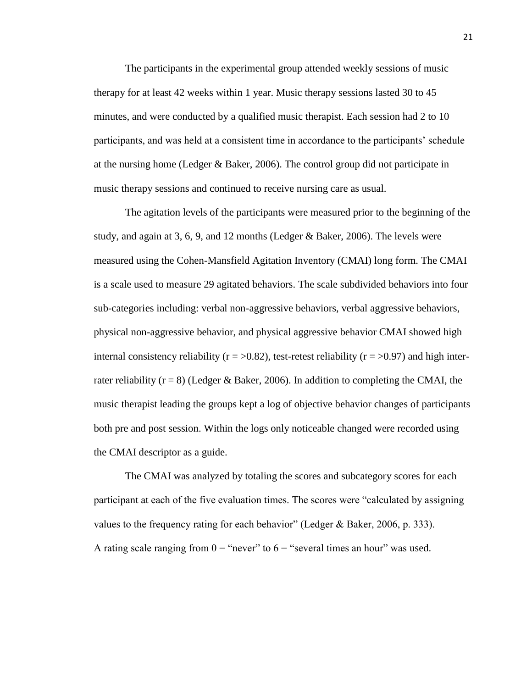The participants in the experimental group attended weekly sessions of music therapy for at least 42 weeks within 1 year. Music therapy sessions lasted 30 to 45 minutes, and were conducted by a qualified music therapist. Each session had 2 to 10 participants, and was held at a consistent time in accordance to the participants' schedule at the nursing home (Ledger & Baker, 2006). The control group did not participate in music therapy sessions and continued to receive nursing care as usual.

The agitation levels of the participants were measured prior to the beginning of the study, and again at 3, 6, 9, and 12 months (Ledger & Baker, 2006). The levels were measured using the Cohen-Mansfield Agitation Inventory (CMAI) long form. The CMAI is a scale used to measure 29 agitated behaviors. The scale subdivided behaviors into four sub-categories including: verbal non-aggressive behaviors, verbal aggressive behaviors, physical non-aggressive behavior, and physical aggressive behavior CMAI showed high internal consistency reliability ( $r = >0.82$ ), test-retest reliability ( $r = >0.97$ ) and high interrater reliability ( $r = 8$ ) (Ledger & Baker, 2006). In addition to completing the CMAI, the music therapist leading the groups kept a log of objective behavior changes of participants both pre and post session. Within the logs only noticeable changed were recorded using the CMAI descriptor as a guide.

The CMAI was analyzed by totaling the scores and subcategory scores for each participant at each of the five evaluation times. The scores were "calculated by assigning values to the frequency rating for each behavior" (Ledger & Baker, 2006, p. 333). A rating scale ranging from  $0 =$  "never" to  $6 =$  "several times an hour" was used.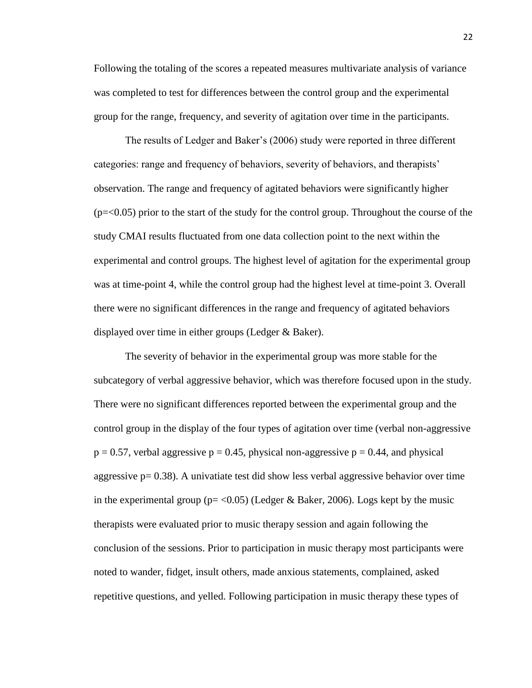Following the totaling of the scores a repeated measures multivariate analysis of variance was completed to test for differences between the control group and the experimental group for the range, frequency, and severity of agitation over time in the participants.

The results of Ledger and Baker's (2006) study were reported in three different categories: range and frequency of behaviors, severity of behaviors, and therapists' observation. The range and frequency of agitated behaviors were significantly higher  $(p = 0.05)$  prior to the start of the study for the control group. Throughout the course of the study CMAI results fluctuated from one data collection point to the next within the experimental and control groups. The highest level of agitation for the experimental group was at time-point 4, while the control group had the highest level at time-point 3. Overall there were no significant differences in the range and frequency of agitated behaviors displayed over time in either groups (Ledger & Baker).

The severity of behavior in the experimental group was more stable for the subcategory of verbal aggressive behavior, which was therefore focused upon in the study. There were no significant differences reported between the experimental group and the control group in the display of the four types of agitation over time (verbal non-aggressive  $p = 0.57$ , verbal aggressive  $p = 0.45$ , physical non-aggressive  $p = 0.44$ , and physical aggressive  $p = 0.38$ ). A univatiate test did show less verbal aggressive behavior over time in the experimental group ( $p = < 0.05$ ) (Ledger & Baker, 2006). Logs kept by the music therapists were evaluated prior to music therapy session and again following the conclusion of the sessions. Prior to participation in music therapy most participants were noted to wander, fidget, insult others, made anxious statements, complained, asked repetitive questions, and yelled. Following participation in music therapy these types of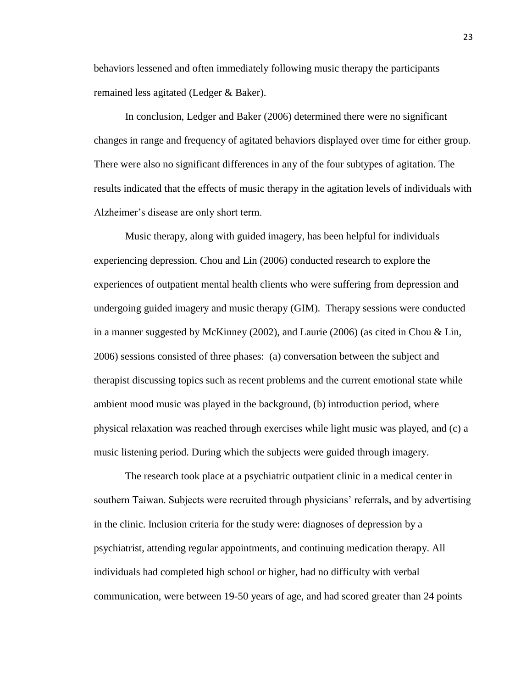behaviors lessened and often immediately following music therapy the participants remained less agitated (Ledger & Baker).

In conclusion, Ledger and Baker (2006) determined there were no significant changes in range and frequency of agitated behaviors displayed over time for either group. There were also no significant differences in any of the four subtypes of agitation. The results indicated that the effects of music therapy in the agitation levels of individuals with Alzheimer's disease are only short term.

Music therapy, along with guided imagery, has been helpful for individuals experiencing depression. Chou and Lin (2006) conducted research to explore the experiences of outpatient mental health clients who were suffering from depression and undergoing guided imagery and music therapy (GIM). Therapy sessions were conducted in a manner suggested by McKinney (2002), and Laurie (2006) (as cited in Chou & Lin, 2006) sessions consisted of three phases: (a) conversation between the subject and therapist discussing topics such as recent problems and the current emotional state while ambient mood music was played in the background, (b) introduction period, where physical relaxation was reached through exercises while light music was played, and (c) a music listening period. During which the subjects were guided through imagery.

The research took place at a psychiatric outpatient clinic in a medical center in southern Taiwan. Subjects were recruited through physicians' referrals, and by advertising in the clinic. Inclusion criteria for the study were: diagnoses of depression by a psychiatrist, attending regular appointments, and continuing medication therapy. All individuals had completed high school or higher, had no difficulty with verbal communication, were between 19-50 years of age, and had scored greater than 24 points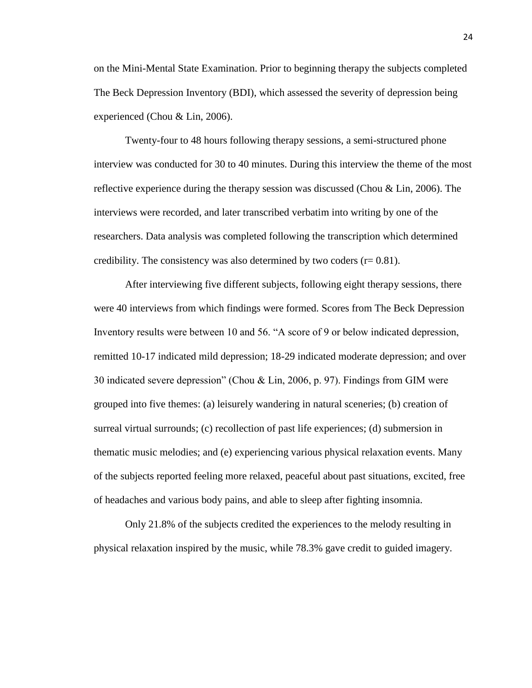on the Mini-Mental State Examination. Prior to beginning therapy the subjects completed The Beck Depression Inventory (BDI), which assessed the severity of depression being experienced (Chou & Lin, 2006).

Twenty-four to 48 hours following therapy sessions, a semi-structured phone interview was conducted for 30 to 40 minutes. During this interview the theme of the most reflective experience during the therapy session was discussed (Chou & Lin, 2006). The interviews were recorded, and later transcribed verbatim into writing by one of the researchers. Data analysis was completed following the transcription which determined credibility. The consistency was also determined by two coders  $(r= 0.81)$ .

After interviewing five different subjects, following eight therapy sessions, there were 40 interviews from which findings were formed. Scores from The Beck Depression Inventory results were between 10 and 56. "A score of 9 or below indicated depression, remitted 10-17 indicated mild depression; 18-29 indicated moderate depression; and over 30 indicated severe depression" (Chou & Lin, 2006, p. 97). Findings from GIM were grouped into five themes: (a) leisurely wandering in natural sceneries; (b) creation of surreal virtual surrounds; (c) recollection of past life experiences; (d) submersion in thematic music melodies; and (e) experiencing various physical relaxation events. Many of the subjects reported feeling more relaxed, peaceful about past situations, excited, free of headaches and various body pains, and able to sleep after fighting insomnia.

Only 21.8% of the subjects credited the experiences to the melody resulting in physical relaxation inspired by the music, while 78.3% gave credit to guided imagery.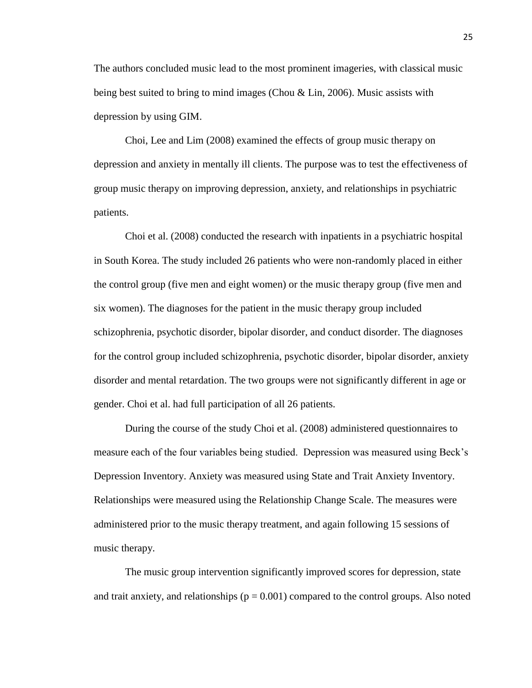The authors concluded music lead to the most prominent imageries, with classical music being best suited to bring to mind images (Chou & Lin, 2006). Music assists with depression by using GIM.

Choi, Lee and Lim (2008) examined the effects of group music therapy on depression and anxiety in mentally ill clients. The purpose was to test the effectiveness of group music therapy on improving depression, anxiety, and relationships in psychiatric patients.

Choi et al. (2008) conducted the research with inpatients in a psychiatric hospital in South Korea. The study included 26 patients who were non-randomly placed in either the control group (five men and eight women) or the music therapy group (five men and six women). The diagnoses for the patient in the music therapy group included schizophrenia, psychotic disorder, bipolar disorder, and conduct disorder. The diagnoses for the control group included schizophrenia, psychotic disorder, bipolar disorder, anxiety disorder and mental retardation. The two groups were not significantly different in age or gender. Choi et al. had full participation of all 26 patients.

During the course of the study Choi et al. (2008) administered questionnaires to measure each of the four variables being studied. Depression was measured using Beck's Depression Inventory. Anxiety was measured using State and Trait Anxiety Inventory. Relationships were measured using the Relationship Change Scale. The measures were administered prior to the music therapy treatment, and again following 15 sessions of music therapy.

The music group intervention significantly improved scores for depression, state and trait anxiety, and relationships  $(p = 0.001)$  compared to the control groups. Also noted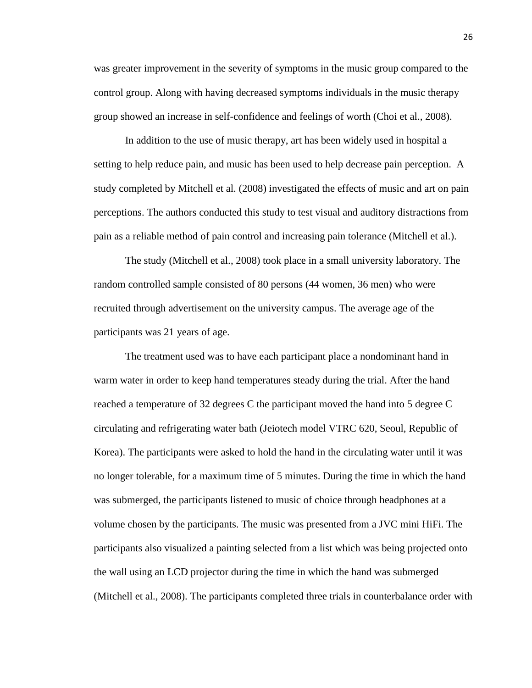was greater improvement in the severity of symptoms in the music group compared to the control group. Along with having decreased symptoms individuals in the music therapy group showed an increase in self-confidence and feelings of worth (Choi et al., 2008).

In addition to the use of music therapy, art has been widely used in hospital a setting to help reduce pain, and music has been used to help decrease pain perception. A study completed by Mitchell et al. (2008) investigated the effects of music and art on pain perceptions. The authors conducted this study to test visual and auditory distractions from pain as a reliable method of pain control and increasing pain tolerance (Mitchell et al.).

The study (Mitchell et al., 2008) took place in a small university laboratory. The random controlled sample consisted of 80 persons (44 women, 36 men) who were recruited through advertisement on the university campus. The average age of the participants was 21 years of age.

The treatment used was to have each participant place a nondominant hand in warm water in order to keep hand temperatures steady during the trial. After the hand reached a temperature of 32 degrees C the participant moved the hand into 5 degree C circulating and refrigerating water bath (Jeiotech model VTRC 620, Seoul, Republic of Korea). The participants were asked to hold the hand in the circulating water until it was no longer tolerable, for a maximum time of 5 minutes. During the time in which the hand was submerged, the participants listened to music of choice through headphones at a volume chosen by the participants. The music was presented from a JVC mini HiFi. The participants also visualized a painting selected from a list which was being projected onto the wall using an LCD projector during the time in which the hand was submerged (Mitchell et al., 2008). The participants completed three trials in counterbalance order with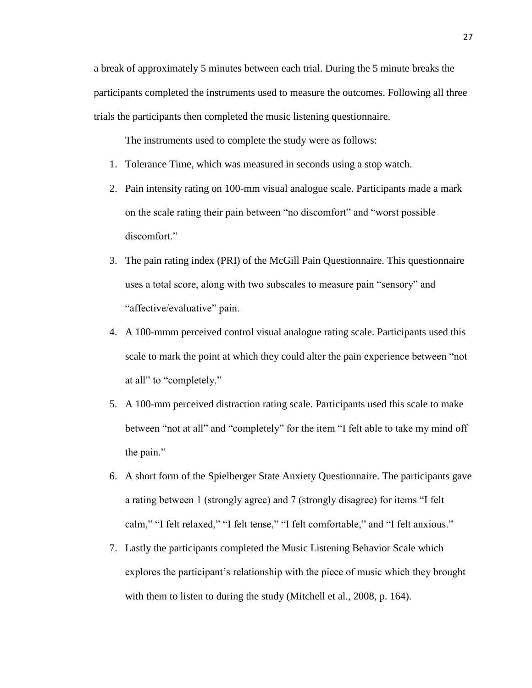a break of approximately 5 minutes between each trial. During the 5 minute breaks the participants completed the instruments used to measure the outcomes. Following all three trials the participants then completed the music listening questionnaire.

The instruments used to complete the study were as follows:

- 1. Tolerance Time, which was measured in seconds using a stop watch.
- 2. Pain intensity rating on 100-mm visual analogue scale. Participants made a mark on the scale rating their pain between "no discomfort" and "worst possible discomfort."
- 3. The pain rating index (PRI) of the McGill Pain Questionnaire. This questionnaire uses a total score, along with two subscales to measure pain "sensory" and "affective/evaluative" pain.
- 4. A 100-mmm perceived control visual analogue rating scale. Participants used this scale to mark the point at which they could alter the pain experience between "not at all" to "completely."
- 5. A 100-mm perceived distraction rating scale. Participants used this scale to make between "not at all" and "completely" for the item "I felt able to take my mind off the pain."
- 6. A short form of the Spielberger State Anxiety Questionnaire. The participants gave a rating between 1 (strongly agree) and 7 (strongly disagree) for items "I felt calm," "I felt relaxed," "I felt tense," "I felt comfortable," and "I felt anxious."
- 7. Lastly the participants completed the Music Listening Behavior Scale which explores the participant's relationship with the piece of music which they brought with them to listen to during the study (Mitchell et al., 2008, p. 164).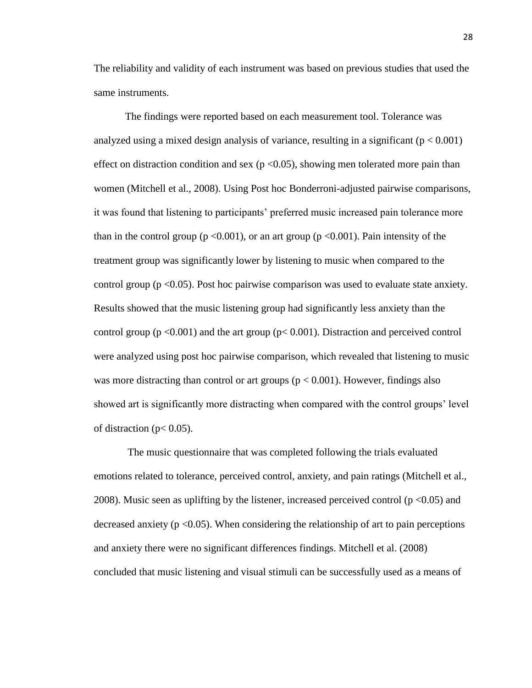The reliability and validity of each instrument was based on previous studies that used the same instruments.

The findings were reported based on each measurement tool. Tolerance was analyzed using a mixed design analysis of variance, resulting in a significant  $(p < 0.001)$ effect on distraction condition and sex ( $p < 0.05$ ), showing men tolerated more pain than women (Mitchell et al., 2008). Using Post hoc Bonderroni-adjusted pairwise comparisons, it was found that listening to participants' preferred music increased pain tolerance more than in the control group ( $p < 0.001$ ), or an art group ( $p < 0.001$ ). Pain intensity of the treatment group was significantly lower by listening to music when compared to the control group (p <0.05). Post hoc pairwise comparison was used to evaluate state anxiety. Results showed that the music listening group had significantly less anxiety than the control group ( $p \le 0.001$ ) and the art group ( $p \le 0.001$ ). Distraction and perceived control were analyzed using post hoc pairwise comparison, which revealed that listening to music was more distracting than control or art groups ( $p < 0.001$ ). However, findings also showed art is significantly more distracting when compared with the control groups' level of distraction ( $p < 0.05$ ).

The music questionnaire that was completed following the trials evaluated emotions related to tolerance, perceived control, anxiety, and pain ratings (Mitchell et al., 2008). Music seen as uplifting by the listener, increased perceived control ( $p < 0.05$ ) and decreased anxiety ( $p \le 0.05$ ). When considering the relationship of art to pain perceptions and anxiety there were no significant differences findings. Mitchell et al. (2008) concluded that music listening and visual stimuli can be successfully used as a means of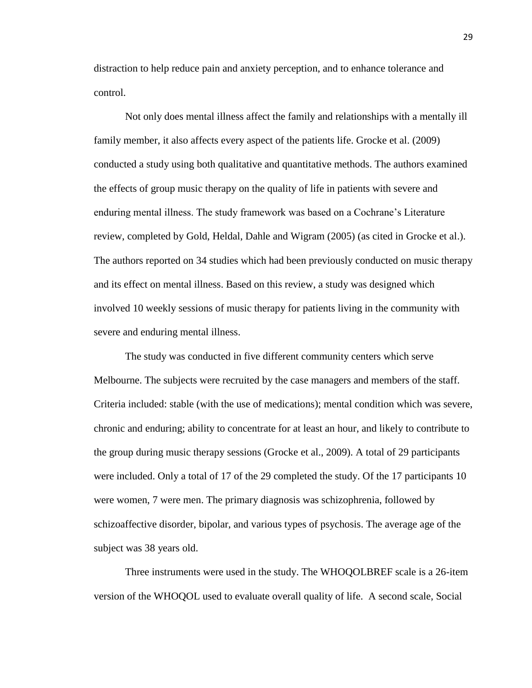distraction to help reduce pain and anxiety perception, and to enhance tolerance and control.

Not only does mental illness affect the family and relationships with a mentally ill family member, it also affects every aspect of the patients life. Grocke et al. (2009) conducted a study using both qualitative and quantitative methods. The authors examined the effects of group music therapy on the quality of life in patients with severe and enduring mental illness. The study framework was based on a Cochrane's Literature review, completed by Gold, Heldal, Dahle and Wigram (2005) (as cited in Grocke et al.). The authors reported on 34 studies which had been previously conducted on music therapy and its effect on mental illness. Based on this review, a study was designed which involved 10 weekly sessions of music therapy for patients living in the community with severe and enduring mental illness.

The study was conducted in five different community centers which serve Melbourne. The subjects were recruited by the case managers and members of the staff. Criteria included: stable (with the use of medications); mental condition which was severe, chronic and enduring; ability to concentrate for at least an hour, and likely to contribute to the group during music therapy sessions (Grocke et al., 2009). A total of 29 participants were included. Only a total of 17 of the 29 completed the study. Of the 17 participants 10 were women, 7 were men. The primary diagnosis was schizophrenia, followed by schizoaffective disorder, bipolar, and various types of psychosis. The average age of the subject was 38 years old.

Three instruments were used in the study. The WHOQOLBREF scale is a 26-item version of the WHOQOL used to evaluate overall quality of life. A second scale, Social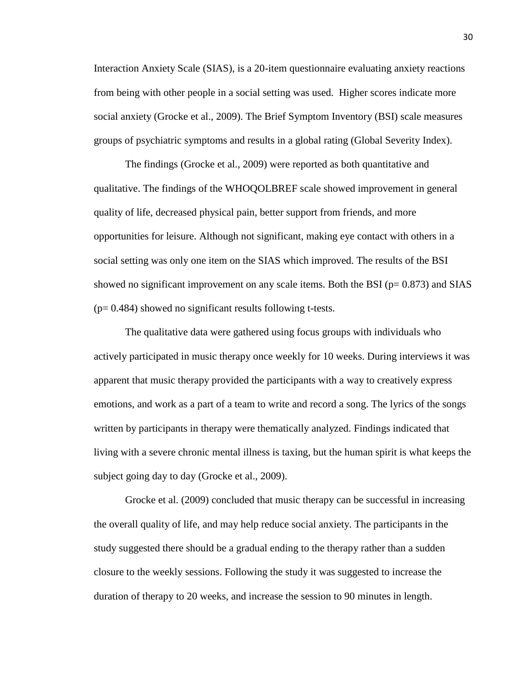Interaction Anxiety Scale (SIAS), is a 20-item questionnaire evaluating anxiety reactions from being with other people in a social setting was used. Higher scores indicate more social anxiety (Grocke et al., 2009). The Brief Symptom Inventory (BSI) scale measures groups of psychiatric symptoms and results in a global rating (Global Severity Index).

The findings (Grocke et al., 2009) were reported as both quantitative and qualitative. The findings of the WHOQOLBREF scale showed improvement in general quality of life, decreased physical pain, better support from friends, and more opportunities for leisure. Although not significant, making eye contact with others in a social setting was only one item on the SIAS which improved. The results of the BSI showed no significant improvement on any scale items. Both the BSI ( $p= 0.873$ ) and SIAS  $(p= 0.484)$  showed no significant results following t-tests.

The qualitative data were gathered using focus groups with individuals who actively participated in music therapy once weekly for 10 weeks. During interviews it was apparent that music therapy provided the participants with a way to creatively express emotions, and work as a part of a team to write and record a song. The lyrics of the songs written by participants in therapy were thematically analyzed. Findings indicated that living with a severe chronic mental illness is taxing, but the human spirit is what keeps the subject going day to day (Grocke et al., 2009).

Grocke et al. (2009) concluded that music therapy can be successful in increasing the overall quality of life, and may help reduce social anxiety. The participants in the study suggested there should be a gradual ending to the therapy rather than a sudden closure to the weekly sessions. Following the study it was suggested to increase the duration of therapy to 20 weeks, and increase the session to 90 minutes in length.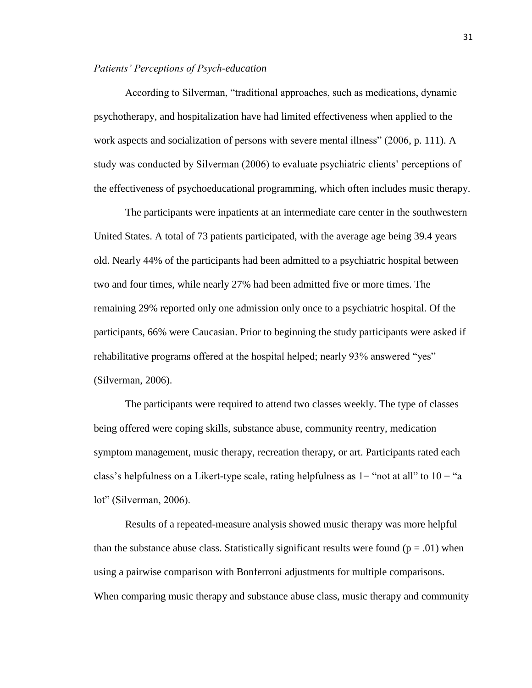## *Patients' Perceptions of Psych-education*

According to Silverman, "traditional approaches, such as medications, dynamic psychotherapy, and hospitalization have had limited effectiveness when applied to the work aspects and socialization of persons with severe mental illness" (2006, p. 111). A study was conducted by Silverman (2006) to evaluate psychiatric clients' perceptions of the effectiveness of psychoeducational programming, which often includes music therapy.

The participants were inpatients at an intermediate care center in the southwestern United States. A total of 73 patients participated, with the average age being 39.4 years old. Nearly 44% of the participants had been admitted to a psychiatric hospital between two and four times, while nearly 27% had been admitted five or more times. The remaining 29% reported only one admission only once to a psychiatric hospital. Of the participants, 66% were Caucasian. Prior to beginning the study participants were asked if rehabilitative programs offered at the hospital helped; nearly 93% answered "yes" (Silverman, 2006).

The participants were required to attend two classes weekly. The type of classes being offered were coping skills, substance abuse, community reentry, medication symptom management, music therapy, recreation therapy, or art. Participants rated each class's helpfulness on a Likert-type scale, rating helpfulness as  $1=$  "not at all" to  $10=$  "a lot" (Silverman, 2006).

Results of a repeated-measure analysis showed music therapy was more helpful than the substance abuse class. Statistically significant results were found ( $p = .01$ ) when using a pairwise comparison with Bonferroni adjustments for multiple comparisons. When comparing music therapy and substance abuse class, music therapy and community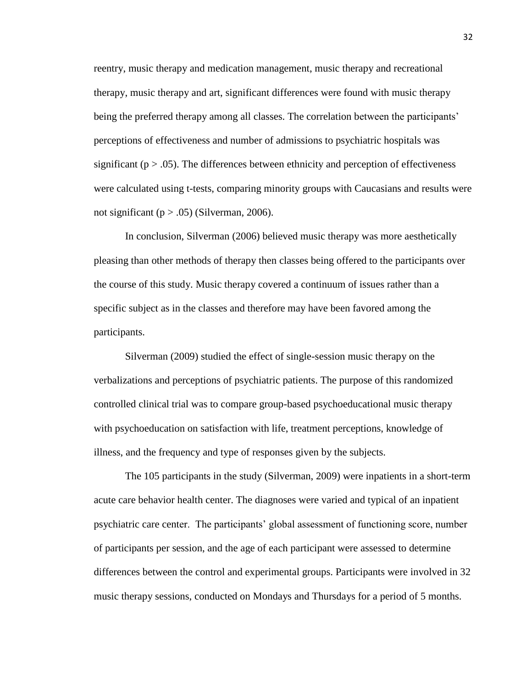reentry, music therapy and medication management, music therapy and recreational therapy, music therapy and art, significant differences were found with music therapy being the preferred therapy among all classes. The correlation between the participants' perceptions of effectiveness and number of admissions to psychiatric hospitals was significant ( $p > .05$ ). The differences between ethnicity and perception of effectiveness were calculated using t-tests, comparing minority groups with Caucasians and results were not significant ( $p > .05$ ) (Silverman, 2006).

In conclusion, Silverman (2006) believed music therapy was more aesthetically pleasing than other methods of therapy then classes being offered to the participants over the course of this study. Music therapy covered a continuum of issues rather than a specific subject as in the classes and therefore may have been favored among the participants.

Silverman (2009) studied the effect of single-session music therapy on the verbalizations and perceptions of psychiatric patients. The purpose of this randomized controlled clinical trial was to compare group-based psychoeducational music therapy with psychoeducation on satisfaction with life, treatment perceptions, knowledge of illness, and the frequency and type of responses given by the subjects.

The 105 participants in the study (Silverman, 2009) were inpatients in a short-term acute care behavior health center. The diagnoses were varied and typical of an inpatient psychiatric care center. The participants' global assessment of functioning score, number of participants per session, and the age of each participant were assessed to determine differences between the control and experimental groups. Participants were involved in 32 music therapy sessions, conducted on Mondays and Thursdays for a period of 5 months.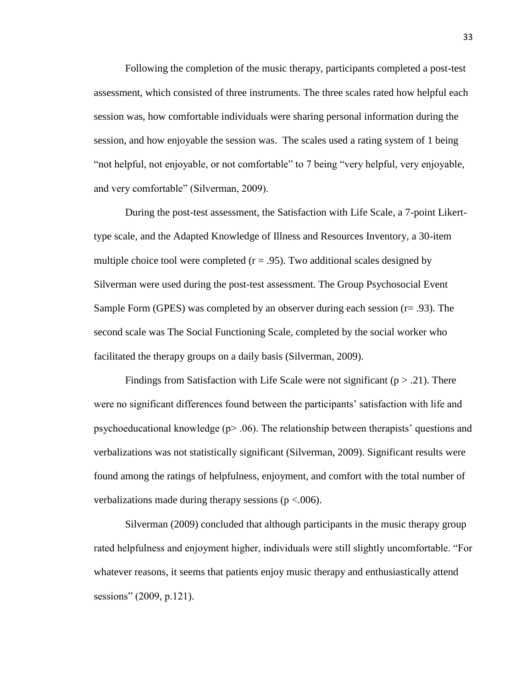Following the completion of the music therapy, participants completed a post-test assessment, which consisted of three instruments. The three scales rated how helpful each session was, how comfortable individuals were sharing personal information during the session, and how enjoyable the session was. The scales used a rating system of 1 being "not helpful, not enjoyable, or not comfortable" to 7 being "very helpful, very enjoyable, and very comfortable" (Silverman, 2009).

During the post-test assessment, the Satisfaction with Life Scale, a 7-point Likerttype scale, and the Adapted Knowledge of Illness and Resources Inventory, a 30-item multiple choice tool were completed  $(r = .95)$ . Two additional scales designed by Silverman were used during the post-test assessment. The Group Psychosocial Event Sample Form (GPES) was completed by an observer during each session  $(r= .93)$ . The second scale was The Social Functioning Scale, completed by the social worker who facilitated the therapy groups on a daily basis (Silverman, 2009).

Findings from Satisfaction with Life Scale were not significant ( $p > .21$ ). There were no significant differences found between the participants' satisfaction with life and psychoeducational knowledge (p> .06). The relationship between therapists' questions and verbalizations was not statistically significant (Silverman, 2009). Significant results were found among the ratings of helpfulness, enjoyment, and comfort with the total number of verbalizations made during therapy sessions ( $p < .006$ ).

Silverman (2009) concluded that although participants in the music therapy group rated helpfulness and enjoyment higher, individuals were still slightly uncomfortable. "For whatever reasons, it seems that patients enjoy music therapy and enthusiastically attend sessions" (2009, p.121).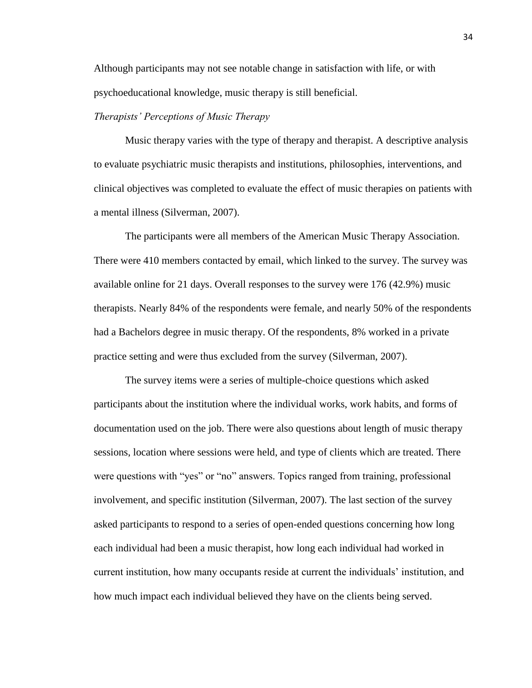Although participants may not see notable change in satisfaction with life, or with psychoeducational knowledge, music therapy is still beneficial.

## *Therapists' Perceptions of Music Therapy*

Music therapy varies with the type of therapy and therapist. A descriptive analysis to evaluate psychiatric music therapists and institutions, philosophies, interventions, and clinical objectives was completed to evaluate the effect of music therapies on patients with a mental illness (Silverman, 2007).

The participants were all members of the American Music Therapy Association. There were 410 members contacted by email, which linked to the survey. The survey was available online for 21 days. Overall responses to the survey were 176 (42.9%) music therapists. Nearly 84% of the respondents were female, and nearly 50% of the respondents had a Bachelors degree in music therapy. Of the respondents, 8% worked in a private practice setting and were thus excluded from the survey (Silverman, 2007).

The survey items were a series of multiple-choice questions which asked participants about the institution where the individual works, work habits, and forms of documentation used on the job. There were also questions about length of music therapy sessions, location where sessions were held, and type of clients which are treated. There were questions with "yes" or "no" answers. Topics ranged from training, professional involvement, and specific institution (Silverman, 2007). The last section of the survey asked participants to respond to a series of open-ended questions concerning how long each individual had been a music therapist, how long each individual had worked in current institution, how many occupants reside at current the individuals' institution, and how much impact each individual believed they have on the clients being served.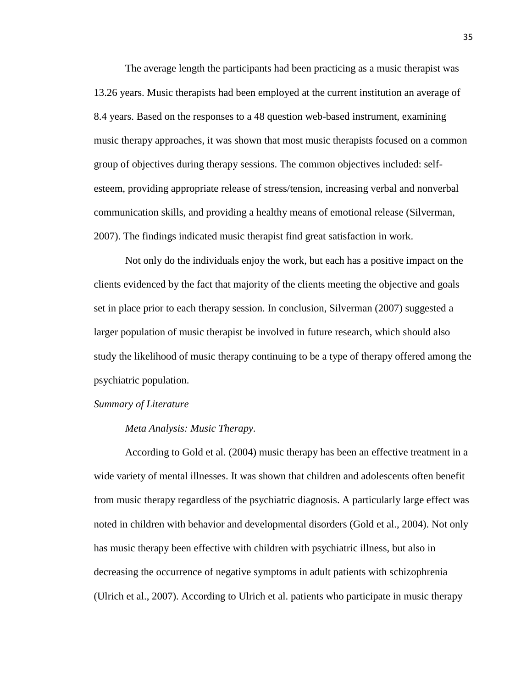The average length the participants had been practicing as a music therapist was 13.26 years. Music therapists had been employed at the current institution an average of 8.4 years. Based on the responses to a 48 question web-based instrument, examining music therapy approaches, it was shown that most music therapists focused on a common group of objectives during therapy sessions. The common objectives included: selfesteem, providing appropriate release of stress/tension, increasing verbal and nonverbal communication skills, and providing a healthy means of emotional release (Silverman, 2007). The findings indicated music therapist find great satisfaction in work.

Not only do the individuals enjoy the work, but each has a positive impact on the clients evidenced by the fact that majority of the clients meeting the objective and goals set in place prior to each therapy session. In conclusion, Silverman (2007) suggested a larger population of music therapist be involved in future research, which should also study the likelihood of music therapy continuing to be a type of therapy offered among the psychiatric population.

#### *Summary of Literature*

#### *Meta Analysis: Music Therapy.*

According to Gold et al. (2004) music therapy has been an effective treatment in a wide variety of mental illnesses. It was shown that children and adolescents often benefit from music therapy regardless of the psychiatric diagnosis. A particularly large effect was noted in children with behavior and developmental disorders (Gold et al., 2004). Not only has music therapy been effective with children with psychiatric illness, but also in decreasing the occurrence of negative symptoms in adult patients with schizophrenia (Ulrich et al., 2007). According to Ulrich et al. patients who participate in music therapy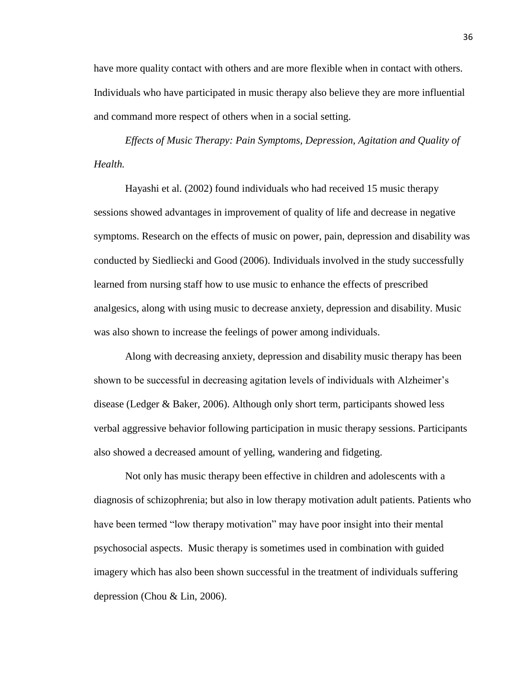have more quality contact with others and are more flexible when in contact with others. Individuals who have participated in music therapy also believe they are more influential and command more respect of others when in a social setting.

*Effects of Music Therapy: Pain Symptoms, Depression, Agitation and Quality of Health.* 

Hayashi et al. (2002) found individuals who had received 15 music therapy sessions showed advantages in improvement of quality of life and decrease in negative symptoms. Research on the effects of music on power, pain, depression and disability was conducted by Siedliecki and Good (2006). Individuals involved in the study successfully learned from nursing staff how to use music to enhance the effects of prescribed analgesics, along with using music to decrease anxiety, depression and disability. Music was also shown to increase the feelings of power among individuals.

Along with decreasing anxiety, depression and disability music therapy has been shown to be successful in decreasing agitation levels of individuals with Alzheimer's disease (Ledger & Baker, 2006). Although only short term, participants showed less verbal aggressive behavior following participation in music therapy sessions. Participants also showed a decreased amount of yelling, wandering and fidgeting.

Not only has music therapy been effective in children and adolescents with a diagnosis of schizophrenia; but also in low therapy motivation adult patients. Patients who have been termed "low therapy motivation" may have poor insight into their mental psychosocial aspects. Music therapy is sometimes used in combination with guided imagery which has also been shown successful in the treatment of individuals suffering depression (Chou & Lin, 2006).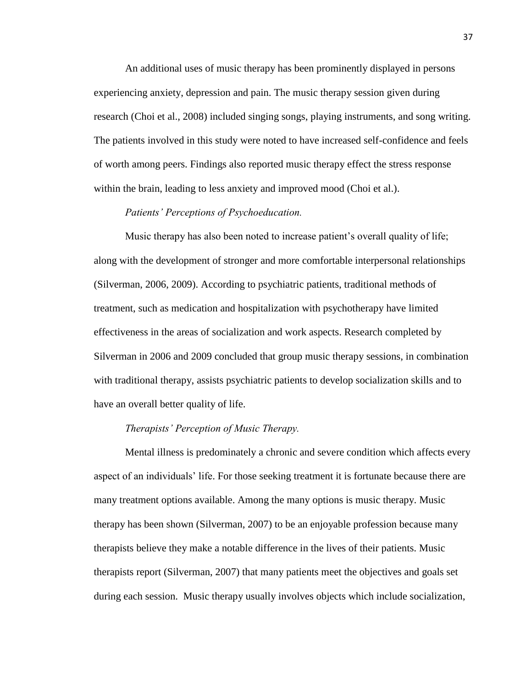An additional uses of music therapy has been prominently displayed in persons experiencing anxiety, depression and pain. The music therapy session given during research (Choi et al., 2008) included singing songs, playing instruments, and song writing. The patients involved in this study were noted to have increased self-confidence and feels of worth among peers. Findings also reported music therapy effect the stress response within the brain, leading to less anxiety and improved mood (Choi et al.).

## *Patients' Perceptions of Psychoeducation.*

Music therapy has also been noted to increase patient's overall quality of life; along with the development of stronger and more comfortable interpersonal relationships (Silverman, 2006, 2009). According to psychiatric patients, traditional methods of treatment, such as medication and hospitalization with psychotherapy have limited effectiveness in the areas of socialization and work aspects. Research completed by Silverman in 2006 and 2009 concluded that group music therapy sessions, in combination with traditional therapy, assists psychiatric patients to develop socialization skills and to have an overall better quality of life.

#### *Therapists' Perception of Music Therapy.*

Mental illness is predominately a chronic and severe condition which affects every aspect of an individuals' life. For those seeking treatment it is fortunate because there are many treatment options available. Among the many options is music therapy. Music therapy has been shown (Silverman, 2007) to be an enjoyable profession because many therapists believe they make a notable difference in the lives of their patients. Music therapists report (Silverman, 2007) that many patients meet the objectives and goals set during each session. Music therapy usually involves objects which include socialization,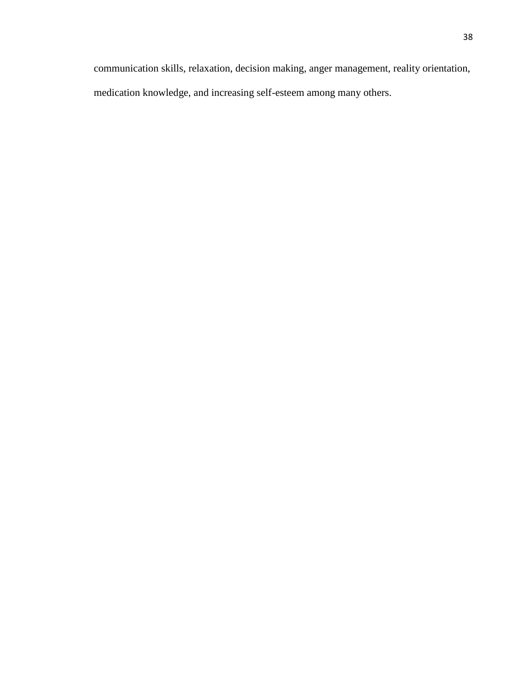communication skills, relaxation, decision making, anger management, reality orientation, medication knowledge, and increasing self-esteem among many others.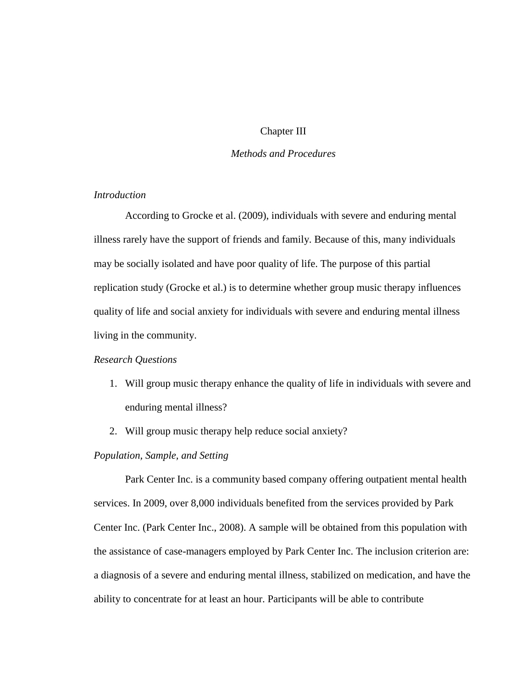## Chapter III

## *Methods and Procedures*

## *Introduction*

According to Grocke et al. (2009), individuals with severe and enduring mental illness rarely have the support of friends and family. Because of this, many individuals may be socially isolated and have poor quality of life. The purpose of this partial replication study (Grocke et al.) is to determine whether group music therapy influences quality of life and social anxiety for individuals with severe and enduring mental illness living in the community.

#### *Research Questions*

- 1. Will group music therapy enhance the quality of life in individuals with severe and enduring mental illness?
- 2. Will group music therapy help reduce social anxiety?

## *Population, Sample, and Setting*

Park Center Inc. is a community based company offering outpatient mental health services. In 2009, over 8,000 individuals benefited from the services provided by Park Center Inc. (Park Center Inc., 2008). A sample will be obtained from this population with the assistance of case-managers employed by Park Center Inc. The inclusion criterion are: a diagnosis of a severe and enduring mental illness, stabilized on medication, and have the ability to concentrate for at least an hour. Participants will be able to contribute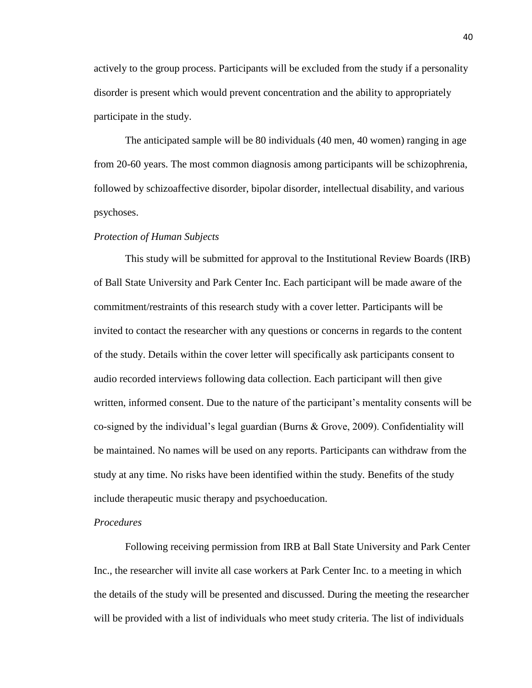actively to the group process. Participants will be excluded from the study if a personality disorder is present which would prevent concentration and the ability to appropriately participate in the study.

The anticipated sample will be 80 individuals (40 men, 40 women) ranging in age from 20-60 years. The most common diagnosis among participants will be schizophrenia, followed by schizoaffective disorder, bipolar disorder, intellectual disability, and various psychoses.

#### *Protection of Human Subjects*

This study will be submitted for approval to the Institutional Review Boards (IRB) of Ball State University and Park Center Inc. Each participant will be made aware of the commitment/restraints of this research study with a cover letter. Participants will be invited to contact the researcher with any questions or concerns in regards to the content of the study. Details within the cover letter will specifically ask participants consent to audio recorded interviews following data collection. Each participant will then give written, informed consent. Due to the nature of the participant's mentality consents will be co-signed by the individual's legal guardian (Burns & Grove, 2009). Confidentiality will be maintained. No names will be used on any reports. Participants can withdraw from the study at any time. No risks have been identified within the study. Benefits of the study include therapeutic music therapy and psychoeducation.

## *Procedures*

Following receiving permission from IRB at Ball State University and Park Center Inc., the researcher will invite all case workers at Park Center Inc. to a meeting in which the details of the study will be presented and discussed. During the meeting the researcher will be provided with a list of individuals who meet study criteria. The list of individuals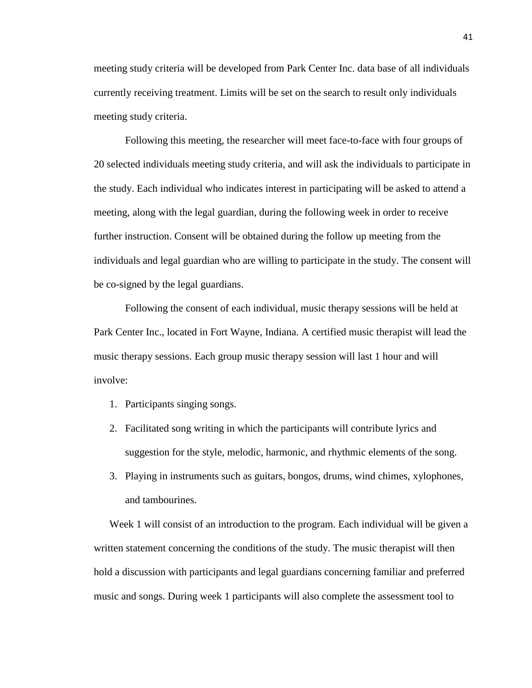meeting study criteria will be developed from Park Center Inc. data base of all individuals currently receiving treatment. Limits will be set on the search to result only individuals meeting study criteria.

Following this meeting, the researcher will meet face-to-face with four groups of 20 selected individuals meeting study criteria, and will ask the individuals to participate in the study. Each individual who indicates interest in participating will be asked to attend a meeting, along with the legal guardian, during the following week in order to receive further instruction. Consent will be obtained during the follow up meeting from the individuals and legal guardian who are willing to participate in the study. The consent will be co-signed by the legal guardians.

Following the consent of each individual, music therapy sessions will be held at Park Center Inc., located in Fort Wayne, Indiana. A certified music therapist will lead the music therapy sessions. Each group music therapy session will last 1 hour and will involve:

- 1. Participants singing songs.
- 2. Facilitated song writing in which the participants will contribute lyrics and suggestion for the style, melodic, harmonic, and rhythmic elements of the song.
- 3. Playing in instruments such as guitars, bongos, drums, wind chimes, xylophones, and tambourines.

Week 1 will consist of an introduction to the program. Each individual will be given a written statement concerning the conditions of the study. The music therapist will then hold a discussion with participants and legal guardians concerning familiar and preferred music and songs. During week 1 participants will also complete the assessment tool to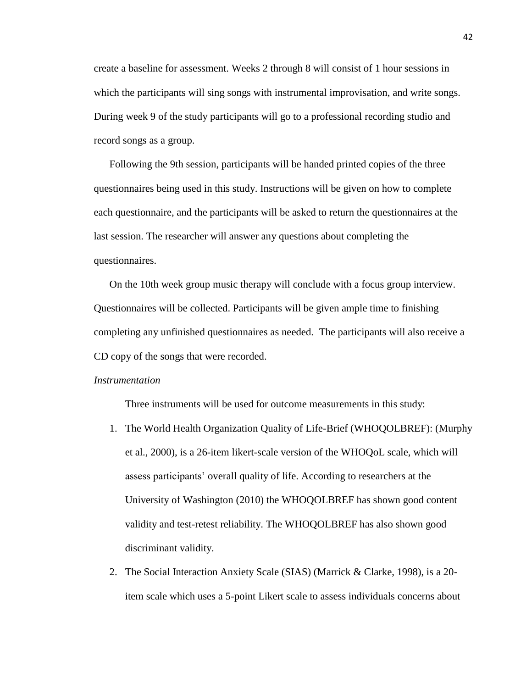create a baseline for assessment. Weeks 2 through 8 will consist of 1 hour sessions in which the participants will sing songs with instrumental improvisation, and write songs. During week 9 of the study participants will go to a professional recording studio and record songs as a group.

Following the 9th session, participants will be handed printed copies of the three questionnaires being used in this study. Instructions will be given on how to complete each questionnaire, and the participants will be asked to return the questionnaires at the last session. The researcher will answer any questions about completing the questionnaires.

On the 10th week group music therapy will conclude with a focus group interview. Questionnaires will be collected. Participants will be given ample time to finishing completing any unfinished questionnaires as needed. The participants will also receive a CD copy of the songs that were recorded.

#### *Instrumentation*

Three instruments will be used for outcome measurements in this study:

- 1. The World Health Organization Quality of Life-Brief (WHOQOLBREF): (Murphy et al., 2000), is a 26-item likert-scale version of the WHOQoL scale, which will assess participants' overall quality of life. According to researchers at the University of Washington (2010) the WHOQOLBREF has shown good content validity and test-retest reliability. The WHOQOLBREF has also shown good discriminant validity.
- 2. The Social Interaction Anxiety Scale (SIAS) (Marrick & Clarke, 1998), is a 20 item scale which uses a 5-point Likert scale to assess individuals concerns about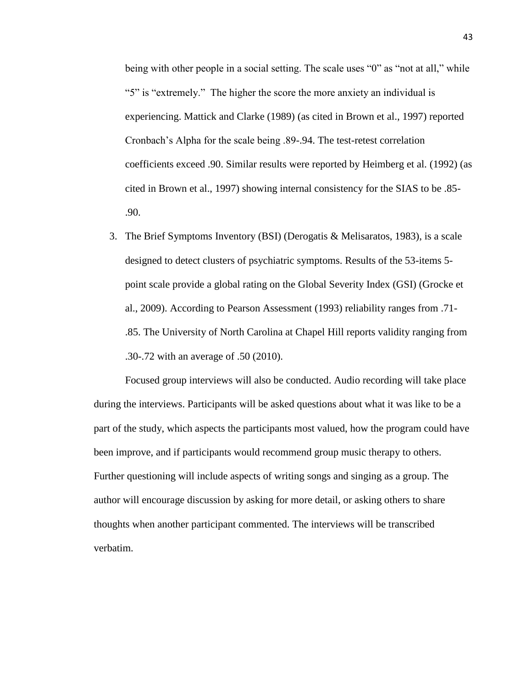being with other people in a social setting. The scale uses "0" as "not at all," while "5" is "extremely." The higher the score the more anxiety an individual is experiencing. Mattick and Clarke (1989) (as cited in Brown et al., 1997) reported Cronbach's Alpha for the scale being .89-.94. The test-retest correlation coefficients exceed .90. Similar results were reported by Heimberg et al. (1992) (as cited in Brown et al., 1997) showing internal consistency for the SIAS to be .85- .90.

3. The Brief Symptoms Inventory (BSI) (Derogatis & Melisaratos, 1983), is a scale designed to detect clusters of psychiatric symptoms. Results of the 53-items 5 point scale provide a global rating on the Global Severity Index (GSI) (Grocke et al., 2009). According to Pearson Assessment (1993) reliability ranges from .71- .85. The University of North Carolina at Chapel Hill reports validity ranging from .30-.72 with an average of .50 (2010).

Focused group interviews will also be conducted. Audio recording will take place during the interviews. Participants will be asked questions about what it was like to be a part of the study, which aspects the participants most valued, how the program could have been improve, and if participants would recommend group music therapy to others. Further questioning will include aspects of writing songs and singing as a group. The author will encourage discussion by asking for more detail, or asking others to share thoughts when another participant commented. The interviews will be transcribed verbatim.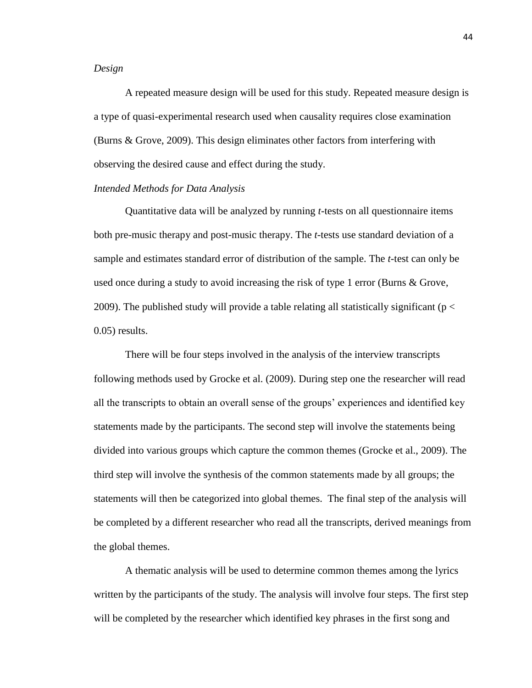#### *Design*

A repeated measure design will be used for this study. Repeated measure design is a type of quasi-experimental research used when causality requires close examination (Burns & Grove, 2009). This design eliminates other factors from interfering with observing the desired cause and effect during the study.

## *Intended Methods for Data Analysis*

Quantitative data will be analyzed by running *t*-tests on all questionnaire items both pre-music therapy and post-music therapy. The *t*-tests use standard deviation of a sample and estimates standard error of distribution of the sample. The *t*-test can only be used once during a study to avoid increasing the risk of type 1 error (Burns & Grove, 2009). The published study will provide a table relating all statistically significant ( $p <$ 0.05) results.

There will be four steps involved in the analysis of the interview transcripts following methods used by Grocke et al. (2009). During step one the researcher will read all the transcripts to obtain an overall sense of the groups' experiences and identified key statements made by the participants. The second step will involve the statements being divided into various groups which capture the common themes (Grocke et al., 2009). The third step will involve the synthesis of the common statements made by all groups; the statements will then be categorized into global themes. The final step of the analysis will be completed by a different researcher who read all the transcripts, derived meanings from the global themes.

A thematic analysis will be used to determine common themes among the lyrics written by the participants of the study. The analysis will involve four steps. The first step will be completed by the researcher which identified key phrases in the first song and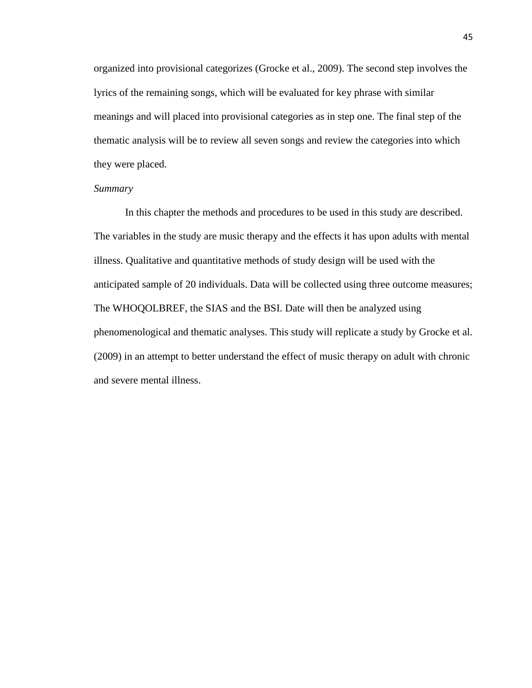organized into provisional categorizes (Grocke et al., 2009). The second step involves the lyrics of the remaining songs, which will be evaluated for key phrase with similar meanings and will placed into provisional categories as in step one. The final step of the thematic analysis will be to review all seven songs and review the categories into which they were placed.

## *Summary*

In this chapter the methods and procedures to be used in this study are described. The variables in the study are music therapy and the effects it has upon adults with mental illness. Qualitative and quantitative methods of study design will be used with the anticipated sample of 20 individuals. Data will be collected using three outcome measures; The WHOQOLBREF, the SIAS and the BSI. Date will then be analyzed using phenomenological and thematic analyses. This study will replicate a study by Grocke et al. (2009) in an attempt to better understand the effect of music therapy on adult with chronic and severe mental illness.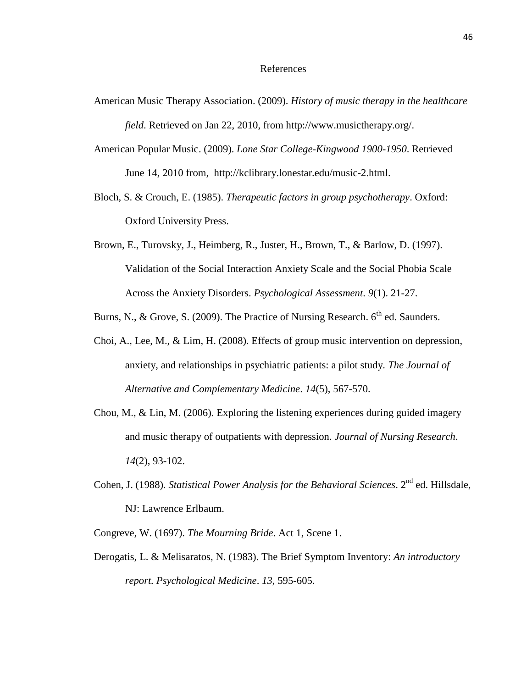#### References

- American Music Therapy Association. (2009). *History of music therapy in the healthcare field*. Retrieved on Jan 22, 2010, from http://www.musictherapy.org/.
- American Popular Music. (2009). *Lone Star College-Kingwood 1900-1950*. Retrieved June 14, 2010 from, http://kclibrary.lonestar.edu/music-2.html.
- Bloch, S. & Crouch, E. (1985). *Therapeutic factors in group psychotherapy*. Oxford: Oxford University Press.
- Brown, E., Turovsky, J., Heimberg, R., Juster, H., Brown, T., & Barlow, D. (1997). Validation of the Social Interaction Anxiety Scale and the Social Phobia Scale Across the Anxiety Disorders. *Psychological Assessment*. *9*(1). 21-27.
- Burns, N., & Grove, S. (2009). The Practice of Nursing Research.  $6<sup>th</sup>$  ed. Saunders.
- Choi, A., Lee, M., & Lim, H. (2008). Effects of group music intervention on depression, anxiety, and relationships in psychiatric patients: a pilot study. *The Journal of Alternative and Complementary Medicine*. *14*(5), 567-570.
- Chou, M., & Lin, M. (2006). Exploring the listening experiences during guided imagery and music therapy of outpatients with depression. *Journal of Nursing Research*. *14*(2), 93-102.
- Cohen, J. (1988). *Statistical Power Analysis for the Behavioral Sciences*. 2<sup>nd</sup> ed. Hillsdale, NJ: Lawrence Erlbaum.
- Congreve, W. (1697). *The Mourning Bride*. Act 1, Scene 1.
- Derogatis, L. & Melisaratos, N. (1983). The Brief Symptom Inventory: *An introductory report. Psychological Medicine*. *13*, 595-605.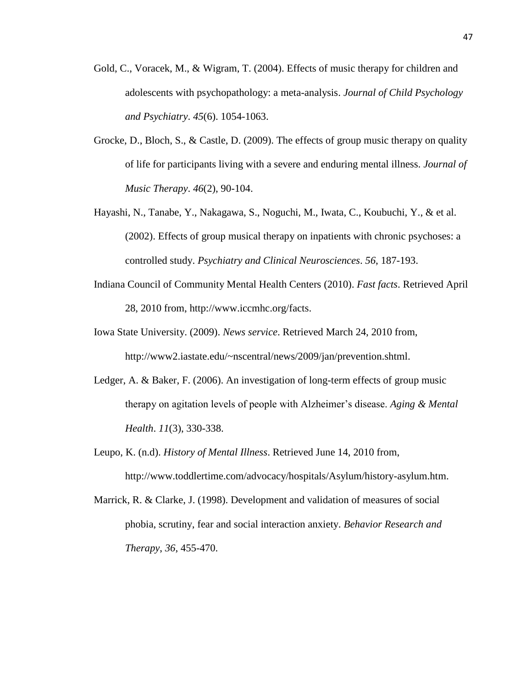- Gold, C., Voracek, M., & Wigram, T. (2004). Effects of music therapy for children and adolescents with psychopathology: a meta-analysis. *Journal of Child Psychology and Psychiatry*. *45*(6). 1054-1063.
- Grocke, D., Bloch, S., & Castle, D. (2009). The effects of group music therapy on quality of life for participants living with a severe and enduring mental illness. *Journal of Music Therapy*. *46*(2), 90-104.
- Hayashi, N., Tanabe, Y., Nakagawa, S., Noguchi, M., Iwata, C., Koubuchi, Y., & et al. (2002). Effects of group musical therapy on inpatients with chronic psychoses: a controlled study. *Psychiatry and Clinical Neurosciences*. *56*, 187-193.
- Indiana Council of Community Mental Health Centers (2010). *Fast facts*. Retrieved April 28, 2010 from, http://www.iccmhc.org/facts.
- Iowa State University. (2009). *News service*. Retrieved March 24, 2010 from, http://www2.iastate.edu/~nscentral/news/2009/jan/prevention.shtml.
- Ledger, A. & Baker, F. (2006). An investigation of long-term effects of group music therapy on agitation levels of people with Alzheimer's disease. *Aging & Mental Health*. *11*(3), 330-338.
- Leupo, K. (n.d). *History of Mental Illness*. Retrieved June 14, 2010 from, http://www.toddlertime.com/advocacy/hospitals/Asylum/history-asylum.htm.
- Marrick, R. & Clarke, J. (1998). Development and validation of measures of social phobia, scrutiny, fear and social interaction anxiety. *Behavior Research and Therapy*, *36*, 455-470.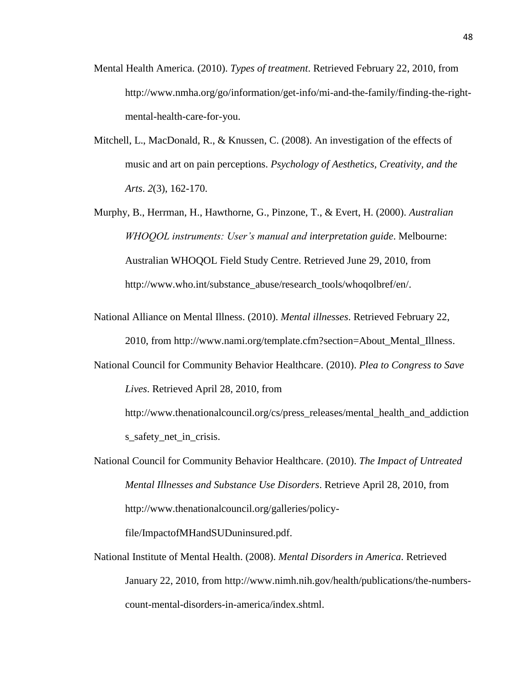- Mental Health America. (2010). *Types of treatment*. Retrieved February 22, 2010, from http://www.nmha.org/go/information/get-info/mi-and-the-family/finding-the-rightmental-health-care-for-you.
- Mitchell, L., MacDonald, R., & Knussen, C. (2008). An investigation of the effects of music and art on pain perceptions. *Psychology of Aesthetics, Creativity, and the Arts*. *2*(3), 162-170.
- Murphy, B., Herrman, H., Hawthorne, G., Pinzone, T., & Evert, H. (2000). *Australian WHOQOL instruments: User's manual and interpretation guide*. Melbourne: Australian WHOQOL Field Study Centre. Retrieved June 29, 2010, from http://www.who.int/substance\_abuse/research\_tools/whoqolbref/en/.
- National Alliance on Mental Illness. (2010). *Mental illnesses*. Retrieved February 22, 2010, from http://www.nami.org/template.cfm?section=About\_Mental\_Illness.
- National Council for Community Behavior Healthcare. (2010). *Plea to Congress to Save Lives*. Retrieved April 28, 2010, from

http://www.thenationalcouncil.org/cs/press\_releases/mental\_health\_and\_addiction s safety net in crisis.

National Council for Community Behavior Healthcare. (2010). *The Impact of Untreated Mental Illnesses and Substance Use Disorders*. Retrieve April 28, 2010, from http://www.thenationalcouncil.org/galleries/policy-

file/ImpactofMHandSUDuninsured.pdf.

National Institute of Mental Health. (2008). *Mental Disorders in America*. Retrieved January 22, 2010, from http://www.nimh.nih.gov/health/publications/the-numberscount-mental-disorders-in-america/index.shtml.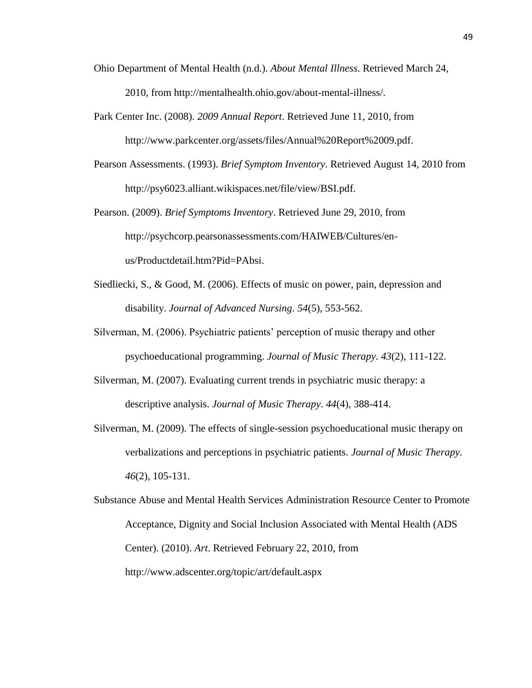- Ohio Department of Mental Health (n.d.). *About Mental Illness*. Retrieved March 24, 2010, from http://mentalhealth.ohio.gov/about-mental-illness/.
- Park Center Inc. (2008). *2009 Annual Report*. Retrieved June 11, 2010, from http://www.parkcenter.org/assets/files/Annual%20Report%2009.pdf.
- Pearson Assessments. (1993). *Brief Symptom Inventory*. Retrieved August 14, 2010 from http://psy6023.alliant.wikispaces.net/file/view/BSI.pdf.
- Pearson. (2009). *Brief Symptoms Inventory*. Retrieved June 29, 2010, from http://psychcorp.pearsonassessments.com/HAIWEB/Cultures/enus/Productdetail.htm?Pid=PAbsi.
- Siedliecki, S., & Good, M. (2006). Effects of music on power, pain, depression and disability. *Journal of Advanced Nursing*. *54*(5), 553-562.
- Silverman, M. (2006). Psychiatric patients' perception of music therapy and other psychoeducational programming. *Journal of Music Therapy*. *43*(2), 111-122.
- Silverman, M. (2007). Evaluating current trends in psychiatric music therapy: a descriptive analysis. *Journal of Music Therapy*. *44*(4), 388-414.
- Silverman, M. (2009). The effects of single-session psychoeducational music therapy on verbalizations and perceptions in psychiatric patients. *Journal of Music Therapy*. *46*(2), 105-131.

Substance Abuse and Mental Health Services Administration Resource Center to Promote Acceptance, Dignity and Social Inclusion Associated with Mental Health (ADS Center). (2010). *Art*. Retrieved February 22, 2010, from http://www.adscenter.org/topic/art/default.aspx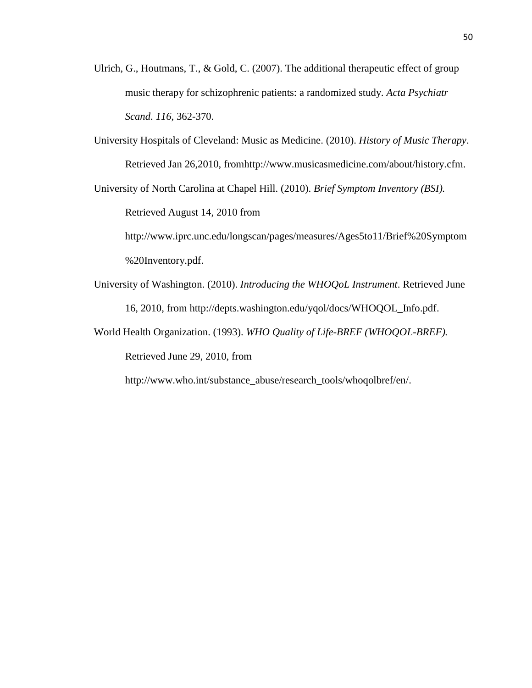- Ulrich, G., Houtmans, T., & Gold, C. (2007). The additional therapeutic effect of group music therapy for schizophrenic patients: a randomized study. *Acta Psychiatr Scand*. *116*, 362-370.
- University Hospitals of Cleveland: Music as Medicine. (2010). *History of Music Therapy*. Retrieved Jan 26,2010, fromhttp://www.musicasmedicine.com/about/history.cfm.

University of North Carolina at Chapel Hill. (2010). *Brief Symptom Inventory (BSI).*

Retrieved August 14, 2010 from

http://www.iprc.unc.edu/longscan/pages/measures/Ages5to11/Brief%20Symptom %20Inventory.pdf.

University of Washington. (2010). *Introducing the WHOQoL Instrument*. Retrieved June 16, 2010, from http://depts.washington.edu/yqol/docs/WHOQOL\_Info.pdf.

World Health Organization. (1993). *WHO Quality of Life-BREF (WHOQOL-BREF).* Retrieved June 29, 2010, from

http://www.who.int/substance\_abuse/research\_tools/whoqolbref/en/.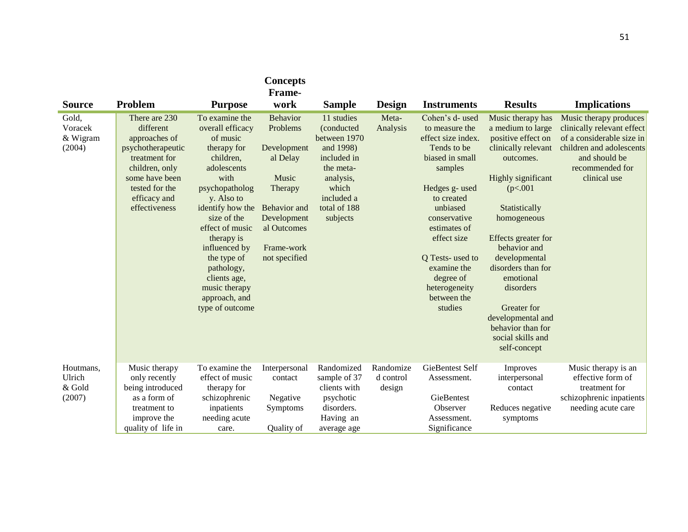| <b>Source</b>                           | Problem                                                                                                                                                                  | <b>Purpose</b>                                                                                                                                                                                                                                                                                                           | <b>Concepts</b><br>Frame-<br>work                                                                                                                       | <b>Sample</b>                                                                                                                                     | Design                           | <b>Instruments</b>                                                                                                                                                                                                                                                                        | <b>Results</b>                                                                                                                                                                                                                                                                                                                                                          | <b>Implications</b>                                                                                                                                               |
|-----------------------------------------|--------------------------------------------------------------------------------------------------------------------------------------------------------------------------|--------------------------------------------------------------------------------------------------------------------------------------------------------------------------------------------------------------------------------------------------------------------------------------------------------------------------|---------------------------------------------------------------------------------------------------------------------------------------------------------|---------------------------------------------------------------------------------------------------------------------------------------------------|----------------------------------|-------------------------------------------------------------------------------------------------------------------------------------------------------------------------------------------------------------------------------------------------------------------------------------------|-------------------------------------------------------------------------------------------------------------------------------------------------------------------------------------------------------------------------------------------------------------------------------------------------------------------------------------------------------------------------|-------------------------------------------------------------------------------------------------------------------------------------------------------------------|
| Gold,<br>Voracek<br>& Wigram<br>(2004)  | There are 230<br>different<br>approaches of<br>psychotherapeutic<br>treatment for<br>children, only<br>some have been<br>tested for the<br>efficacy and<br>effectiveness | To examine the<br>overall efficacy<br>of music<br>therapy for<br>children,<br>adolescents<br>with<br>psychopatholog<br>y. Also to<br>identify how the<br>size of the<br>effect of music<br>therapy is<br>influenced by<br>the type of<br>pathology,<br>clients age,<br>music therapy<br>approach, and<br>type of outcome | <b>Behavior</b><br>Problems<br>Development<br>al Delay<br>Music<br>Therapy<br>Behavior and<br>Development<br>al Outcomes<br>Frame-work<br>not specified | 11 studies<br>(conducted<br>between 1970<br>and 1998)<br>included in<br>the meta-<br>analysis,<br>which<br>included a<br>total of 188<br>subjects | Meta-<br>Analysis                | Cohen's d- used<br>to measure the<br>effect size index.<br>Tends to be<br>biased in small<br>samples<br>Hedges g- used<br>to created<br>unbiased<br>conservative<br>estimates of<br>effect size<br>Q Tests-used to<br>examine the<br>degree of<br>heterogeneity<br>between the<br>studies | Music therapy has<br>a medium to large<br>positive effect on<br>clinically relevant<br>outcomes.<br>Highly significant<br>(p<.001<br>Statistically<br>homogeneous<br>Effects greater for<br>behavior and<br>developmental<br>disorders than for<br>emotional<br>disorders<br>Greater for<br>developmental and<br>behavior than for<br>social skills and<br>self-concept | Music therapy produces<br>clinically relevant effect<br>of a considerable size in<br>children and adolescents<br>and should be<br>recommended for<br>clinical use |
| Houtmans,<br>Ulrich<br>& Gold<br>(2007) | Music therapy<br>only recently<br>being introduced<br>as a form of<br>treatment to<br>improve the<br>quality of life in                                                  | To examine the<br>effect of music<br>therapy for<br>schizophrenic<br>inpatients<br>needing acute<br>care.                                                                                                                                                                                                                | Interpersonal<br>contact<br>Negative<br><b>Symptoms</b><br>Quality of                                                                                   | Randomized<br>sample of 37<br>clients with<br>psychotic<br>disorders.<br>Having an<br>average age                                                 | Randomize<br>d control<br>design | <b>GieBentest Self</b><br>Assessment.<br>GieBentest<br>Observer<br>Assessment.<br>Significance                                                                                                                                                                                            | Improves<br>interpersonal<br>contact<br>Reduces negative<br>symptoms                                                                                                                                                                                                                                                                                                    | Music therapy is an<br>effective form of<br>treatment for<br>schizophrenic inpatients<br>needing acute care                                                       |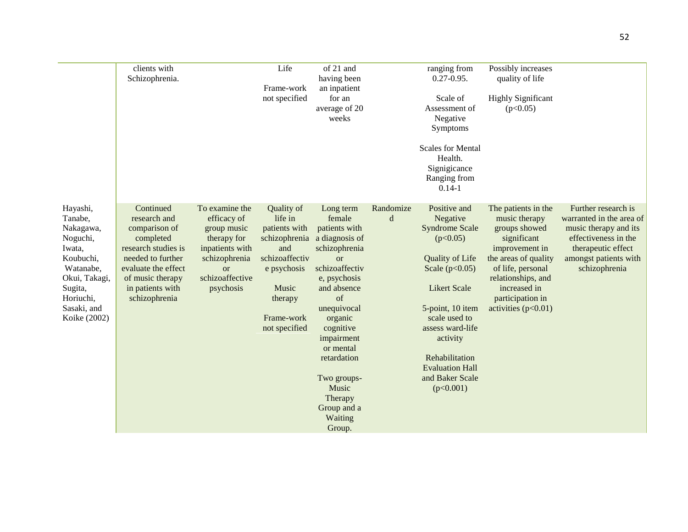|                                                                                                                                                          | clients with<br>Schizophrenia.                                                                                                                                                      |                                                                                                                                                  | Life<br>Frame-work<br>not specified                                                                                                                | of 21 and<br>having been<br>an inpatient<br>for an<br>average of 20<br>weeks                                                                                                                                                                                                                       |                | ranging from<br>$0.27 - 0.95$ .<br>Scale of<br>Assessment of<br>Negative<br>Symptoms<br><b>Scales for Mental</b><br>Health.<br>Signigicance<br>Ranging from<br>$0.14 - 1$                                                                                                    | Possibly increases<br>quality of life<br><b>Highly Significant</b><br>(p<0.05)                                                                                                                                         |                                                                                                                                                                  |
|----------------------------------------------------------------------------------------------------------------------------------------------------------|-------------------------------------------------------------------------------------------------------------------------------------------------------------------------------------|--------------------------------------------------------------------------------------------------------------------------------------------------|----------------------------------------------------------------------------------------------------------------------------------------------------|----------------------------------------------------------------------------------------------------------------------------------------------------------------------------------------------------------------------------------------------------------------------------------------------------|----------------|------------------------------------------------------------------------------------------------------------------------------------------------------------------------------------------------------------------------------------------------------------------------------|------------------------------------------------------------------------------------------------------------------------------------------------------------------------------------------------------------------------|------------------------------------------------------------------------------------------------------------------------------------------------------------------|
| Hayashi,<br>Tanabe,<br>Nakagawa,<br>Noguchi,<br>Iwata,<br>Koubuchi,<br>Watanabe,<br>Okui, Takagi,<br>Sugita,<br>Horiuchi,<br>Sasaki, and<br>Koike (2002) | Continued<br>research and<br>comparison of<br>completed<br>research studies is<br>needed to further<br>evaluate the effect<br>of music therapy<br>in patients with<br>schizophrenia | To examine the<br>efficacy of<br>group music<br>therapy for<br>inpatients with<br>schizophrenia<br><sub>or</sub><br>schizoaffective<br>psychosis | Quality of<br>life in<br>patients with<br>schizophrenia<br>and<br>schizoaffectiv<br>e psychosis<br>Music<br>therapy<br>Frame-work<br>not specified | Long term<br>female<br>patients with<br>a diagnosis of<br>schizophrenia<br>$\alpha$<br>schizoaffectiv<br>e, psychosis<br>and absence<br>of<br>unequivocal<br>organic<br>cognitive<br>impairment<br>or mental<br>retardation<br>Two groups-<br>Music<br>Therapy<br>Group and a<br>Waiting<br>Group. | Randomize<br>d | Positive and<br>Negative<br><b>Syndrome Scale</b><br>(p<0.05)<br>Quality of Life<br>Scale $(p<0.05)$<br><b>Likert Scale</b><br>5-point, 10 item<br>scale used to<br>assess ward-life<br>activity<br>Rehabilitation<br><b>Evaluation Hall</b><br>and Baker Scale<br>(p<0.001) | The patients in the<br>music therapy<br>groups showed<br>significant<br>improvement in<br>the areas of quality<br>of life, personal<br>relationships, and<br>increased in<br>participation in<br>activities $(p<0.01)$ | Further research is<br>warranted in the area of<br>music therapy and its<br>effectiveness in the<br>therapeutic effect<br>amongst patients with<br>schizophrenia |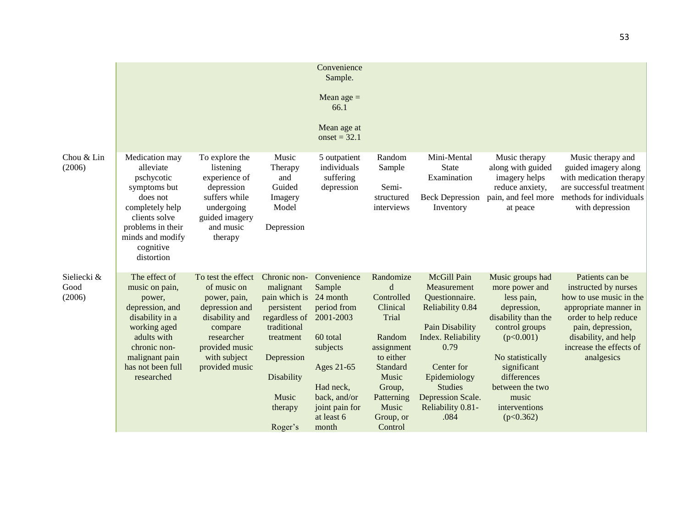|                               |                                                                                                                                                                                     |                                                                                                                                                                    |                                                                                                                                                                         | Convenience<br>Sample.<br>Mean age $=$<br>66.1<br>Mean age at<br>onset = $32.1$                                                                                           |                                                                                                                                                                      |                                                                                                                                                                                                                     |                                                                                                                                                                                                                                   |                                                                                                                                                                                                           |
|-------------------------------|-------------------------------------------------------------------------------------------------------------------------------------------------------------------------------------|--------------------------------------------------------------------------------------------------------------------------------------------------------------------|-------------------------------------------------------------------------------------------------------------------------------------------------------------------------|---------------------------------------------------------------------------------------------------------------------------------------------------------------------------|----------------------------------------------------------------------------------------------------------------------------------------------------------------------|---------------------------------------------------------------------------------------------------------------------------------------------------------------------------------------------------------------------|-----------------------------------------------------------------------------------------------------------------------------------------------------------------------------------------------------------------------------------|-----------------------------------------------------------------------------------------------------------------------------------------------------------------------------------------------------------|
| Chou & Lin<br>(2006)          | Medication may<br>alleviate<br>pschycotic<br>symptoms but<br>does not<br>completely help<br>clients solve<br>problems in their<br>minds and modify<br>cognitive<br>distortion       | To explore the<br>listening<br>experience of<br>depression<br>suffers while<br>undergoing<br>guided imagery<br>and music<br>therapy                                | Music<br>Therapy<br>and<br>Guided<br>Imagery<br>Model<br>Depression                                                                                                     | 5 outpatient<br>individuals<br>suffering<br>depression                                                                                                                    | Random<br>Sample<br>Semi-<br>structured<br>interviews                                                                                                                | Mini-Mental<br>State<br>Examination<br><b>Beck Depression</b><br>Inventory                                                                                                                                          | Music therapy<br>along with guided<br>imagery helps<br>reduce anxiety,<br>pain, and feel more<br>at peace                                                                                                                         | Music therapy and<br>guided imagery along<br>with medication therapy<br>are successful treatment<br>methods for individuals<br>with depression                                                            |
| Sieliecki &<br>Good<br>(2006) | The effect of<br>music on pain,<br>power,<br>depression, and<br>disability in a<br>working aged<br>adults with<br>chronic non-<br>malignant pain<br>has not been full<br>researched | To test the effect<br>of music on<br>power, pain,<br>depression and<br>disability and<br>compare<br>researcher<br>provided music<br>with subject<br>provided music | Chronic non-<br>malignant<br>pain which is<br>persistent<br>regardless of<br>traditional<br>treatment<br>Depression<br>Disability<br><b>Music</b><br>therapy<br>Roger's | Convenience<br>Sample<br>24 month<br>period from<br>2001-2003<br>60 total<br>subjects<br>Ages 21-65<br>Had neck,<br>back, and/or<br>joint pain for<br>at least 6<br>month | Randomize<br>d<br>Controlled<br>Clinical<br>Trial<br>Random<br>assignment<br>to either<br>Standard<br>Music<br>Group,<br>Patterning<br>Music<br>Group, or<br>Control | McGill Pain<br>Measurement<br>Questionnaire.<br>Reliability 0.84<br>Pain Disability<br>Index. Reliability<br>0.79<br>Center for<br>Epidemiology<br><b>Studies</b><br>Depression Scale.<br>Reliability 0.81-<br>.084 | Music groups had<br>more power and<br>less pain,<br>depression,<br>disability than the<br>control groups<br>(p<0.001)<br>No statistically<br>significant<br>differences<br>between the two<br>music<br>interventions<br>(p<0.362) | Patients can be<br>instructed by nurses<br>how to use music in the<br>appropriate manner in<br>order to help reduce<br>pain, depression,<br>disability, and help<br>increase the effects of<br>analgesics |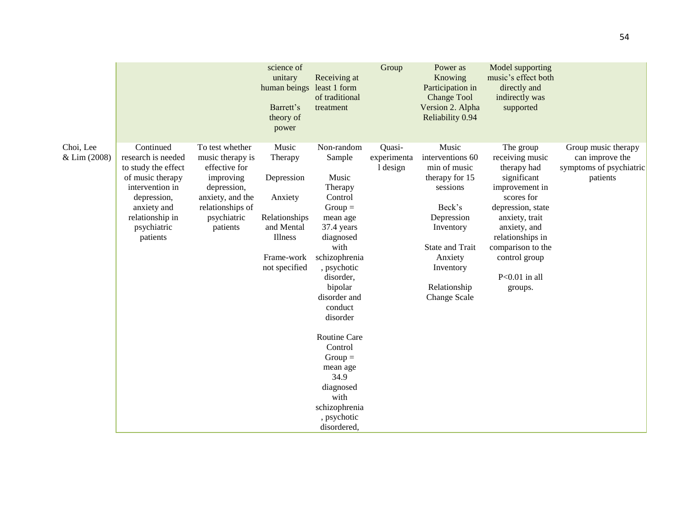|                           |                                                                                                                                                                           |                                                                                                                                                     | science of<br>unitary<br>human beings least 1 form<br>Barrett's<br>theory of<br>power                              | Receiving at<br>of traditional<br>treatment                                                                                                                                                                                                                                                                                                    | Group                             | Power as<br>Knowing<br>Participation in<br><b>Change Tool</b><br>Version 2. Alpha<br>Reliability 0.94                                                                                                 | Model supporting<br>music's effect both<br>directly and<br>indirectly was<br>supported                                                                                                                                                    |                                                                               |
|---------------------------|---------------------------------------------------------------------------------------------------------------------------------------------------------------------------|-----------------------------------------------------------------------------------------------------------------------------------------------------|--------------------------------------------------------------------------------------------------------------------|------------------------------------------------------------------------------------------------------------------------------------------------------------------------------------------------------------------------------------------------------------------------------------------------------------------------------------------------|-----------------------------------|-------------------------------------------------------------------------------------------------------------------------------------------------------------------------------------------------------|-------------------------------------------------------------------------------------------------------------------------------------------------------------------------------------------------------------------------------------------|-------------------------------------------------------------------------------|
| Choi, Lee<br>& Lim (2008) | Continued<br>research is needed<br>to study the effect<br>of music therapy<br>intervention in<br>depression,<br>anxiety and<br>relationship in<br>psychiatric<br>patients | To test whether<br>music therapy is<br>effective for<br>improving<br>depression,<br>anxiety, and the<br>relationships of<br>psychiatric<br>patients | Music<br>Therapy<br>Depression<br>Anxiety<br>Relationships<br>and Mental<br>Illness<br>Frame-work<br>not specified | Non-random<br>Sample<br>Music<br>Therapy<br>Control<br>$Group =$<br>mean age<br>37.4 years<br>diagnosed<br>with<br>schizophrenia<br>, psychotic<br>disorder,<br>bipolar<br>disorder and<br>conduct<br>disorder<br>Routine Care<br>Control<br>$Group =$<br>mean age<br>34.9<br>diagnosed<br>with<br>schizophrenia<br>, psychotic<br>disordered, | Quasi-<br>experimenta<br>1 design | Music<br>interventions 60<br>min of music<br>therapy for 15<br>sessions<br>Beck's<br>Depression<br>Inventory<br><b>State and Trait</b><br>Anxiety<br>Inventory<br>Relationship<br><b>Change Scale</b> | The group<br>receiving music<br>therapy had<br>significant<br>improvement in<br>scores for<br>depression, state<br>anxiety, trait<br>anxiety, and<br>relationships in<br>comparison to the<br>control group<br>$P<0.01$ in all<br>groups. | Group music therapy<br>can improve the<br>symptoms of psychiatric<br>patients |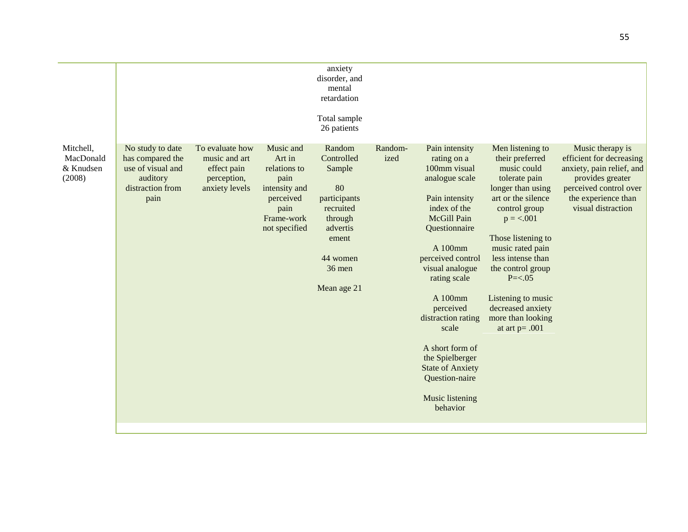|                                               |                                                                                                   |                                                                                  |                                                                                                                  | anxiety<br>disorder, and<br>mental<br>retardation<br>Total sample<br>26 patients                                                       |                 |                                                                                                                                                                                                                                                                                                                                                                               |                                                                                                                                                                                                                                                                                                                                         |                                                                                                                                                                      |
|-----------------------------------------------|---------------------------------------------------------------------------------------------------|----------------------------------------------------------------------------------|------------------------------------------------------------------------------------------------------------------|----------------------------------------------------------------------------------------------------------------------------------------|-----------------|-------------------------------------------------------------------------------------------------------------------------------------------------------------------------------------------------------------------------------------------------------------------------------------------------------------------------------------------------------------------------------|-----------------------------------------------------------------------------------------------------------------------------------------------------------------------------------------------------------------------------------------------------------------------------------------------------------------------------------------|----------------------------------------------------------------------------------------------------------------------------------------------------------------------|
| Mitchell,<br>MacDonald<br>& Knudsen<br>(2008) | No study to date<br>has compared the<br>use of visual and<br>auditory<br>distraction from<br>pain | To evaluate how<br>music and art<br>effect pain<br>perception,<br>anxiety levels | Music and<br>Art in<br>relations to<br>pain<br>intensity and<br>perceived<br>pain<br>Frame-work<br>not specified | Random<br>Controlled<br>Sample<br>80<br>participants<br>recruited<br>through<br>advertis<br>ement<br>44 women<br>36 men<br>Mean age 21 | Random-<br>ized | Pain intensity<br>rating on a<br>100mm visual<br>analogue scale<br>Pain intensity<br>index of the<br>McGill Pain<br>Questionnaire<br>A 100mm<br>perceived control<br>visual analogue<br>rating scale<br>A 100mm<br>perceived<br>distraction rating<br>scale<br>A short form of<br>the Spielberger<br><b>State of Anxiety</b><br>Question-naire<br>Music listening<br>behavior | Men listening to<br>their preferred<br>music could<br>tolerate pain<br>longer than using<br>art or the silence<br>control group<br>$p = < .001$<br>Those listening to<br>music rated pain<br>less intense than<br>the control group<br>$P = < .05$<br>Listening to music<br>decreased anxiety<br>more than looking<br>at art $p = .001$ | Music therapy is<br>efficient for decreasing<br>anxiety, pain relief, and<br>provides greater<br>perceived control over<br>the experience than<br>visual distraction |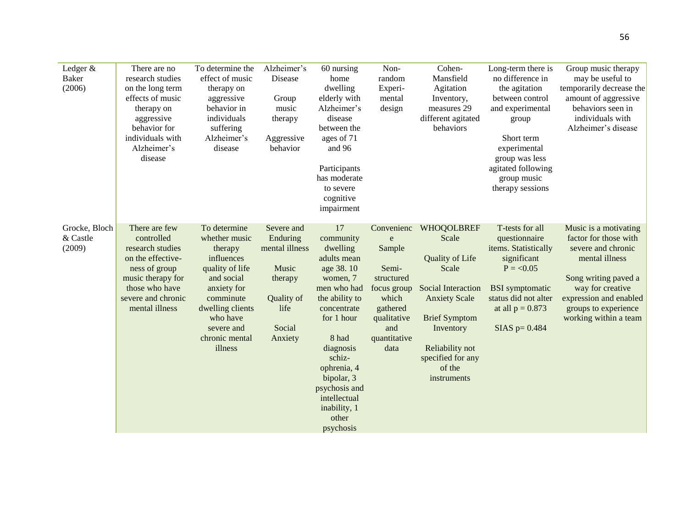| Ledger &<br><b>Baker</b><br>(2006)  | There are no<br>research studies<br>on the long term<br>effects of music<br>therapy on<br>aggressive<br>behavior for<br>individuals with<br>Alzheimer's<br>disease   | To determine the<br>effect of music<br>therapy on<br>aggressive<br>behavior in<br>individuals<br>suffering<br>Alzheimer's<br>disease                                                           | Alzheimer's<br>Disease<br>Group<br>music<br>therapy<br>Aggressive<br>behavior                           | 60 nursing<br>home<br>dwelling<br>elderly with<br>Alzheimer's<br>disease<br>between the<br>ages of 71<br>and 96<br>Participants<br>has moderate<br>to severe<br>cognitive<br>impairment                                                                               | Non-<br>random<br>Experi-<br>mental<br>design                                                                                      | Cohen-<br>Mansfield<br>Agitation<br>Inventory,<br>measures 29<br>different agitated<br>behaviors                                                                                                                         | Long-term there is<br>no difference in<br>the agitation<br>between control<br>and experimental<br>group<br>Short term<br>experimental<br>group was less<br>agitated following<br>group music<br>therapy sessions | Group music therapy<br>may be useful to<br>temporarily decrease the<br>amount of aggressive<br>behaviors seen in<br>individuals with<br>Alzheimer's disease                                                   |
|-------------------------------------|----------------------------------------------------------------------------------------------------------------------------------------------------------------------|------------------------------------------------------------------------------------------------------------------------------------------------------------------------------------------------|---------------------------------------------------------------------------------------------------------|-----------------------------------------------------------------------------------------------------------------------------------------------------------------------------------------------------------------------------------------------------------------------|------------------------------------------------------------------------------------------------------------------------------------|--------------------------------------------------------------------------------------------------------------------------------------------------------------------------------------------------------------------------|------------------------------------------------------------------------------------------------------------------------------------------------------------------------------------------------------------------|---------------------------------------------------------------------------------------------------------------------------------------------------------------------------------------------------------------|
| Grocke, Bloch<br>& Castle<br>(2009) | There are few<br>controlled<br>research studies<br>on the effective-<br>ness of group<br>music therapy for<br>those who have<br>severe and chronic<br>mental illness | To determine<br>whether music<br>therapy<br>influences<br>quality of life<br>and social<br>anxiety for<br>comminute<br>dwelling clients<br>who have<br>severe and<br>chronic mental<br>illness | Severe and<br>Enduring<br>mental illness<br>Music<br>therapy<br>Quality of<br>life<br>Social<br>Anxiety | 17<br>community<br>dwelling<br>adults mean<br>age 38.10<br>women, 7<br>men who had<br>the ability to<br>concentrate<br>for 1 hour<br>8 had<br>diagnosis<br>schiz-<br>ophrenia, 4<br>bipolar, 3<br>psychosis and<br>intellectual<br>inability, 1<br>other<br>psychosis | Convenienc<br>e<br>Sample<br>Semi-<br>structured<br>focus group<br>which<br>gathered<br>qualitative<br>and<br>quantitative<br>data | <b>WHOQOLBREF</b><br>Scale<br><b>Quality of Life</b><br>Scale<br><b>Social Interaction</b><br><b>Anxiety Scale</b><br><b>Brief Symptom</b><br>Inventory<br>Reliability not<br>specified for any<br>of the<br>instruments | T-tests for all<br>questionnaire<br>items. Statistically<br>significant<br>$P = < 0.05$<br><b>BSI</b> symptomatic<br>status did not alter<br>at all $p = 0.873$<br>$SIAS$ p= 0.484                               | Music is a motivating<br>factor for those with<br>severe and chronic<br>mental illness<br>Song writing paved a<br>way for creative<br>expression and enabled<br>groups to experience<br>working within a team |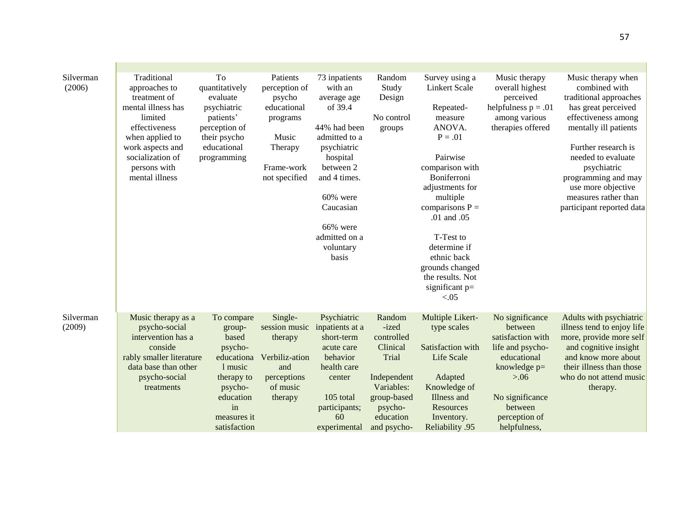| Silverman<br>(2006) | Traditional<br>approaches to<br>treatment of<br>mental illness has<br>limited<br>effectiveness<br>when applied to<br>work aspects and<br>socialization of<br>persons with<br>mental illness | To<br>quantitatively<br>evaluate<br>psychiatric<br>patients'<br>perception of<br>their psycho<br>educational<br>programming                  | Patients<br>perception of<br>psycho<br>educational<br>programs<br>Music<br>Therapy<br>Frame-work<br>not specified | 73 inpatients<br>with an<br>average age<br>of 39.4<br>44% had been<br>admitted to a<br>psychiatric<br>hospital<br>between 2<br>and 4 times.<br>$60\%$ were<br>Caucasian<br>66% were<br>admitted on a<br>voluntary<br>basis | Random<br>Study<br>Design<br>No control<br>groups                                                                                     | Survey using a<br>Linkert Scale<br>Repeated-<br>measure<br>ANOVA.<br>$P = .01$<br>Pairwise<br>comparison with<br>Boniferroni<br>adjustments for<br>multiple<br>comparisons $P =$<br>.01 and .05<br>T-Test to<br>determine if<br>ethnic back<br>grounds changed<br>the results. Not<br>significant $p=$<br>< 0.05 | Music therapy<br>overall highest<br>perceived<br>helpfulness $p = .01$<br>among various<br>therapies offered                                                                | Music therapy when<br>combined with<br>traditional approaches<br>has great perceived<br>effectiveness among<br>mentally ill patients<br>Further research is<br>needed to evaluate<br>psychiatric<br>programming and may<br>use more objective<br>measures rather than<br>participant reported data |
|---------------------|---------------------------------------------------------------------------------------------------------------------------------------------------------------------------------------------|----------------------------------------------------------------------------------------------------------------------------------------------|-------------------------------------------------------------------------------------------------------------------|----------------------------------------------------------------------------------------------------------------------------------------------------------------------------------------------------------------------------|---------------------------------------------------------------------------------------------------------------------------------------|------------------------------------------------------------------------------------------------------------------------------------------------------------------------------------------------------------------------------------------------------------------------------------------------------------------|-----------------------------------------------------------------------------------------------------------------------------------------------------------------------------|----------------------------------------------------------------------------------------------------------------------------------------------------------------------------------------------------------------------------------------------------------------------------------------------------|
| Silverman<br>(2009) | Music therapy as a<br>psycho-social<br>intervention has a<br>conside<br>rably smaller literature<br>data base than other<br>psycho-social<br>treatments                                     | To compare<br>group-<br>based<br>psycho-<br>educationa<br>1 music<br>therapy to<br>psycho-<br>education<br>in<br>measures it<br>satisfaction | Single-<br>session music<br>therapy<br>Verbiliz-ation<br>and<br>perceptions<br>of music<br>therapy                | Psychiatric<br>inpatients at a<br>short-term<br>acute care<br>behavior<br>health care<br>center<br>105 total<br>participants;<br>60<br>experimental                                                                        | Random<br>-ized<br>controlled<br>Clinical<br>Trial<br>Independent<br>Variables:<br>group-based<br>psycho-<br>education<br>and psycho- | Multiple Likert-<br>type scales<br>Satisfaction with<br>Life Scale<br>Adapted<br>Knowledge of<br>Illness and<br>Resources<br>Inventory.<br><b>Reliability .95</b>                                                                                                                                                | No significance<br>between<br>satisfaction with<br>life and psycho-<br>educational<br>knowledge p=<br>> 0.06<br>No significance<br>between<br>perception of<br>helpfulness, | Adults with psychiatric<br>illness tend to enjoy life<br>more, provide more self<br>and cognitive insight<br>and know more about<br>their illness than those<br>who do not attend music<br>therapy.                                                                                                |

57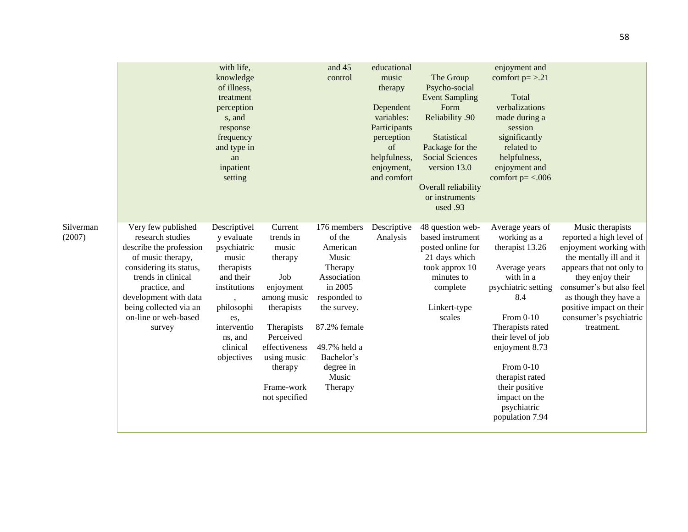|                     |                                                                                                                                                                                                                                               | with life,<br>knowledge<br>of illness,<br>treatment<br>perception<br>s, and<br>response<br>frequency<br>and type in<br>an<br>inpatient<br>setting                      |                                                                                                                                                                                                | and 45<br>control                                                                                                                                                                             | educational<br>music<br>therapy<br>Dependent<br>variables:<br>Participants<br>perception<br>of<br>helpfulness,<br>enjoyment,<br>and comfort | The Group<br>Psycho-social<br><b>Event Sampling</b><br>Form<br>Reliability .90<br>Statistical<br>Package for the<br><b>Social Sciences</b><br>version 13.0<br>Overall reliability<br>or instruments<br>used .93 | enjoyment and<br>comfort $p = > 0.21$<br>Total<br>verbalizations<br>made during a<br>session<br>significantly<br>related to<br>helpfulness,<br>enjoyment and<br>comfort $p = < .006$                                                                                                            |                                                                                                                                                                                                                                                                            |
|---------------------|-----------------------------------------------------------------------------------------------------------------------------------------------------------------------------------------------------------------------------------------------|------------------------------------------------------------------------------------------------------------------------------------------------------------------------|------------------------------------------------------------------------------------------------------------------------------------------------------------------------------------------------|-----------------------------------------------------------------------------------------------------------------------------------------------------------------------------------------------|---------------------------------------------------------------------------------------------------------------------------------------------|-----------------------------------------------------------------------------------------------------------------------------------------------------------------------------------------------------------------|-------------------------------------------------------------------------------------------------------------------------------------------------------------------------------------------------------------------------------------------------------------------------------------------------|----------------------------------------------------------------------------------------------------------------------------------------------------------------------------------------------------------------------------------------------------------------------------|
| Silverman<br>(2007) | Very few published<br>research studies<br>describe the profession<br>of music therapy,<br>considering its status,<br>trends in clinical<br>practice, and<br>development with data<br>being collected via an<br>on-line or web-based<br>survey | Descriptivel<br>y evaluate<br>psychiatric<br>music<br>therapists<br>and their<br>institutions<br>philosophi<br>es,<br>interventio<br>ns, and<br>clinical<br>objectives | Current<br>trends in<br>music<br>therapy<br>Job<br>enjoyment<br>among music<br>therapists<br>Therapists<br>Perceived<br>effectiveness<br>using music<br>therapy<br>Frame-work<br>not specified | 176 members<br>of the<br>American<br>Music<br>Therapy<br>Association<br>in 2005<br>responded to<br>the survey.<br>87.2% female<br>49.7% held a<br>Bachelor's<br>degree in<br>Music<br>Therapy | Descriptive<br>Analysis                                                                                                                     | 48 question web-<br>based instrument<br>posted online for<br>21 days which<br>took approx 10<br>minutes to<br>complete<br>Linkert-type<br>scales                                                                | Average years of<br>working as a<br>therapist 13.26<br>Average years<br>with in a<br>psychiatric setting<br>8.4<br>From 0-10<br>Therapists rated<br>their level of job<br>enjoyment 8.73<br>From $0-10$<br>therapist rated<br>their positive<br>impact on the<br>psychiatric<br>population 7.94 | Music therapists<br>reported a high level of<br>enjoyment working with<br>the mentally ill and it<br>appears that not only to<br>they enjoy their<br>consumer's but also feel<br>as though they have a<br>positive impact on their<br>consumer's psychiatric<br>treatment. |